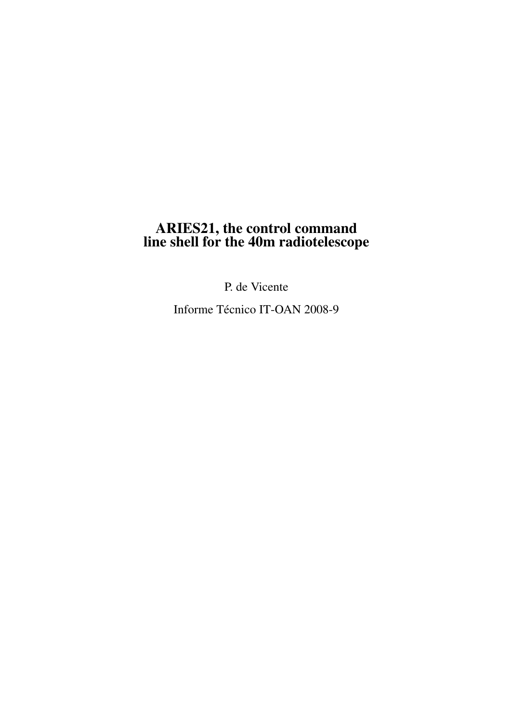# ARIES21, the control command line shell for the 40m radiotelescope

P. de Vicente

Informe Técnico IT-OAN 2008-9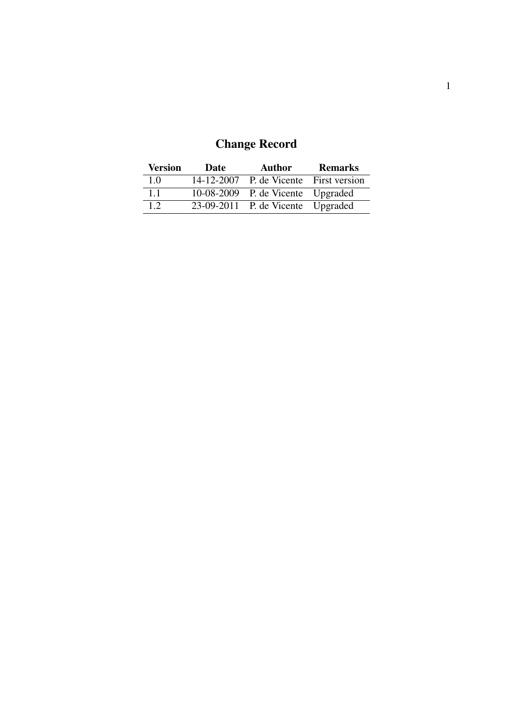| <b>Change Record</b> |  |
|----------------------|--|
|----------------------|--|

| <b>Version</b> | Date | Author                                 | <b>Remarks</b> |
|----------------|------|----------------------------------------|----------------|
| 1.0            |      | 14-12-2007 P. de Vicente First version |                |
| 1.1            |      | 10-08-2009 P. de Vicente Upgraded      |                |
| 1.2            |      | 23-09-2011 P. de Vicente Upgraded      |                |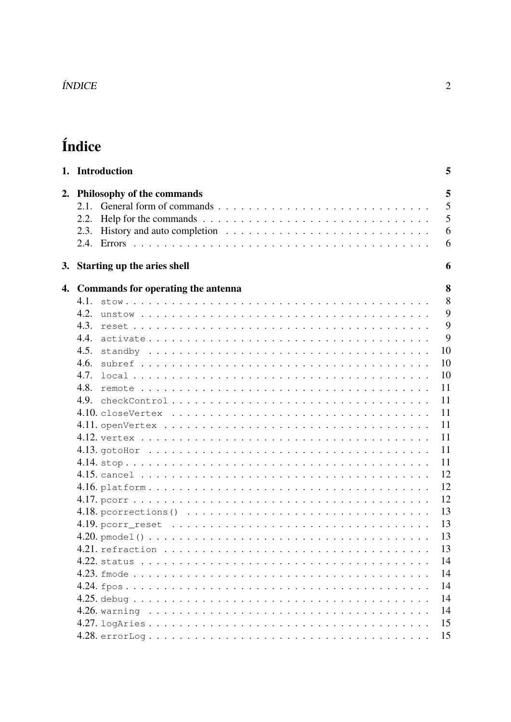| <i><b>INDICI</b></i> |
|----------------------|
|                      |

# Índice

|    | 1. Introduction                                                                                                                                                                                                            | 5                     |
|----|----------------------------------------------------------------------------------------------------------------------------------------------------------------------------------------------------------------------------|-----------------------|
| 2. | Philosophy of the commands<br>2.1.<br>Help for the commands $\ldots \ldots \ldots \ldots \ldots \ldots \ldots \ldots \ldots \ldots$<br>2.2.<br>2.3.                                                                        | 5<br>5<br>5<br>6<br>6 |
|    | 3. Starting up the aries shell                                                                                                                                                                                             | 6                     |
| 4. | Commands for operating the antenna<br>4.1.                                                                                                                                                                                 | 8<br>8                |
|    | 4.2.<br>unstow $\ldots \ldots \ldots \ldots \ldots \ldots \ldots \ldots \ldots \ldots \ldots \ldots \ldots$<br>4.3.                                                                                                        | 9<br>9                |
|    | 4.4.                                                                                                                                                                                                                       | 9                     |
|    | 4.5.<br>4.6.                                                                                                                                                                                                               | 10<br>10              |
|    | 4.7.<br>4.8.                                                                                                                                                                                                               | 10<br>11              |
|    | 4.9.<br>$checkControl \dots \dots \dots \dots \dots \dots \dots \dots \dots \dots \dots \dots \dots \dots \dots$<br>$4.10.$ closeVertex $\dots\dots\dots\dots\dots\dots\dots\dots\dots\dots\dots\dots\dots\dots\dots\dots$ | 11<br>11              |
|    |                                                                                                                                                                                                                            | 11<br>11              |
|    |                                                                                                                                                                                                                            | 11<br>11              |
|    |                                                                                                                                                                                                                            | 12<br>12              |
|    |                                                                                                                                                                                                                            | 12<br>13              |
|    |                                                                                                                                                                                                                            | 13<br>13              |
|    |                                                                                                                                                                                                                            | 13<br>14              |
|    |                                                                                                                                                                                                                            | 14<br>14              |
|    |                                                                                                                                                                                                                            | 14<br>14              |
|    |                                                                                                                                                                                                                            | 15<br>15              |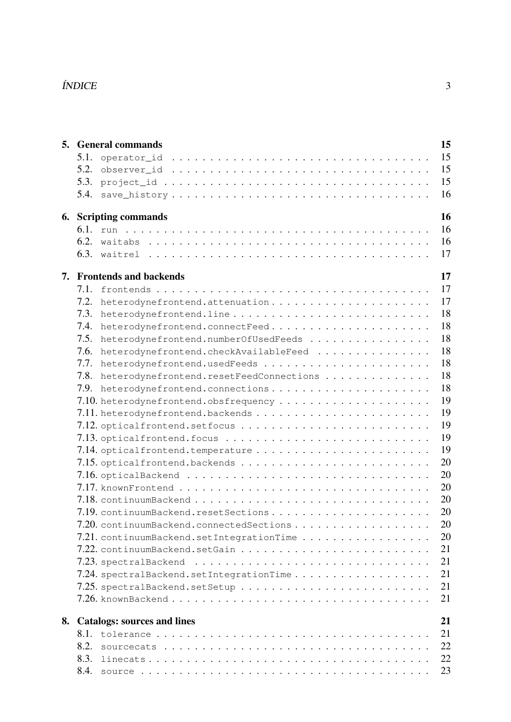### ÍNDICE 3

| 15<br><b>5.</b> General commands |                                                                                                               |  |  |  |  |  |  |
|----------------------------------|---------------------------------------------------------------------------------------------------------------|--|--|--|--|--|--|
| 5.1.                             | 15                                                                                                            |  |  |  |  |  |  |
| 5.2.                             | 15                                                                                                            |  |  |  |  |  |  |
| 5.3.                             | 15                                                                                                            |  |  |  |  |  |  |
| 5.4.                             | 16                                                                                                            |  |  |  |  |  |  |
|                                  | 16<br><b>6.</b> Scripting commands                                                                            |  |  |  |  |  |  |
|                                  | 16                                                                                                            |  |  |  |  |  |  |
|                                  | 16                                                                                                            |  |  |  |  |  |  |
|                                  | 17                                                                                                            |  |  |  |  |  |  |
|                                  | 17<br>7. Frontends and backends                                                                               |  |  |  |  |  |  |
| 7.1.                             | 17                                                                                                            |  |  |  |  |  |  |
| 7.2.                             | 17<br>heterodynefrontend.attenuation                                                                          |  |  |  |  |  |  |
| 7.3.                             | 18                                                                                                            |  |  |  |  |  |  |
| 7.4.                             | 18<br>heterodynefrontend.connectFeed                                                                          |  |  |  |  |  |  |
| 7.5.                             | 18<br>heterodynefrontend.numberOfUsedFeeds                                                                    |  |  |  |  |  |  |
| 7.6.                             | 18<br>heterodynefrontend.checkAvailableFeed                                                                   |  |  |  |  |  |  |
| 7.7.                             | 18                                                                                                            |  |  |  |  |  |  |
| 7.8.                             | 18<br>heterodynefrontend.resetFeedConnections                                                                 |  |  |  |  |  |  |
| 7.9.                             | 18<br>heterodynefrontend.connections                                                                          |  |  |  |  |  |  |
|                                  | 19                                                                                                            |  |  |  |  |  |  |
|                                  | 19                                                                                                            |  |  |  |  |  |  |
|                                  | 19                                                                                                            |  |  |  |  |  |  |
|                                  | 19<br>$7.13.$ optical frontend. focus $\ldots \ldots \ldots \ldots \ldots \ldots \ldots \ldots \ldots \ldots$ |  |  |  |  |  |  |
|                                  | 19                                                                                                            |  |  |  |  |  |  |
|                                  | 20                                                                                                            |  |  |  |  |  |  |
|                                  | 20                                                                                                            |  |  |  |  |  |  |
|                                  | 20                                                                                                            |  |  |  |  |  |  |
|                                  | 20                                                                                                            |  |  |  |  |  |  |
|                                  | 20                                                                                                            |  |  |  |  |  |  |
|                                  | 20<br>7.20. continuumBackend.connectedSections                                                                |  |  |  |  |  |  |
|                                  | 20<br>$7.21.$ continuumBackend.setIntegrationTime                                                             |  |  |  |  |  |  |
|                                  | 21<br>7.22. continuumBackend.setGain                                                                          |  |  |  |  |  |  |
|                                  | 21<br>$7.23.$ spectralBackend $\ldots \ldots \ldots \ldots \ldots \ldots \ldots \ldots \ldots \ldots$         |  |  |  |  |  |  |
|                                  | 21<br>7.24. spectralBackend.setIntegrationTime                                                                |  |  |  |  |  |  |
|                                  | 21<br>$7.25.$ spectralBackend.setSetup                                                                        |  |  |  |  |  |  |
|                                  | 21                                                                                                            |  |  |  |  |  |  |
|                                  |                                                                                                               |  |  |  |  |  |  |
|                                  | 21<br>8. Catalogs: sources and lines                                                                          |  |  |  |  |  |  |
| 8.1.                             | 21                                                                                                            |  |  |  |  |  |  |
| 8.2.                             | 22                                                                                                            |  |  |  |  |  |  |
| 8.3.                             | 22                                                                                                            |  |  |  |  |  |  |
| 8.4.                             | 23                                                                                                            |  |  |  |  |  |  |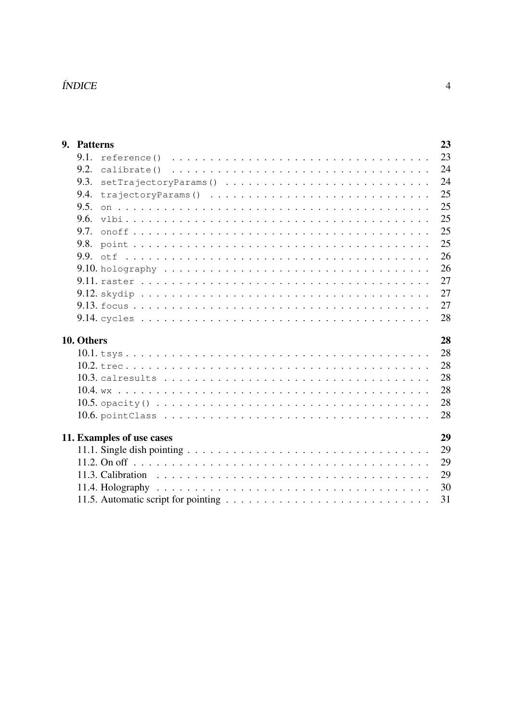# $\emph{fNNICE}$

| 9. Patterns | 23                                                                                                                  |
|-------------|---------------------------------------------------------------------------------------------------------------------|
| 9.1.        | 23<br>reference () $\ldots \ldots \ldots \ldots \ldots \ldots \ldots \ldots \ldots \ldots \ldots$                   |
| 9.2.        | 24<br>calibrate()                                                                                                   |
| 9.3.        | 24<br>setTrajectoryParams()                                                                                         |
| 9.4.        | 25<br>trajectoryParams()                                                                                            |
| 9.5.        | 25                                                                                                                  |
| 9.6.        | 25                                                                                                                  |
| 9.7.        | 25                                                                                                                  |
| 9.8.        | 25                                                                                                                  |
|             | 26                                                                                                                  |
|             | 26<br>9.10. holography $\ldots \ldots \ldots \ldots \ldots \ldots \ldots \ldots \ldots \ldots \ldots \ldots \ldots$ |
|             | 27                                                                                                                  |
|             | 27                                                                                                                  |
|             | 27                                                                                                                  |
|             | 28                                                                                                                  |
| 10. Others  | 28                                                                                                                  |
|             | 28                                                                                                                  |
|             | 28                                                                                                                  |
|             | 28                                                                                                                  |
|             | 28                                                                                                                  |
|             | 28<br>10.5. opacity () $\ldots \ldots \ldots \ldots \ldots \ldots \ldots \ldots \ldots \ldots \ldots \ldots \ldots$ |
|             | 28                                                                                                                  |
|             | 29<br>11. Examples of use cases                                                                                     |
|             | 29                                                                                                                  |
|             | 29                                                                                                                  |
|             | 29                                                                                                                  |
|             | 30                                                                                                                  |
|             | 31                                                                                                                  |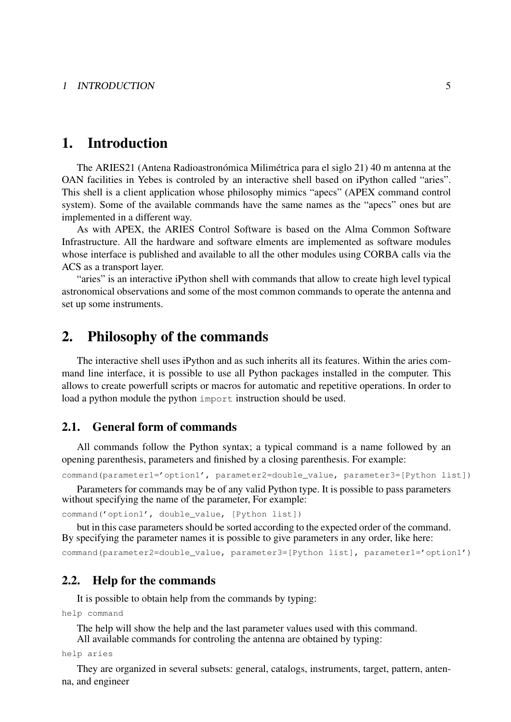# 1. Introduction

The ARIES21 (Antena Radioastronómica Milimétrica para el siglo 21) 40 m antenna at the OAN facilities in Yebes is controled by an interactive shell based on iPython called "aries". This shell is a client application whose philosophy mimics "apecs" (APEX command control system). Some of the available commands have the same names as the "apecs" ones but are implemented in a different way.

As with APEX, the ARIES Control Software is based on the Alma Common Software Infrastructure. All the hardware and software elments are implemented as software modules whose interface is published and available to all the other modules using CORBA calls via the ACS as a transport layer.

"aries" is an interactive iPython shell with commands that allow to create high level typical astronomical observations and some of the most common commands to operate the antenna and set up some instruments.

# 2. Philosophy of the commands

The interactive shell uses iPython and as such inherits all its features. Within the aries command line interface, it is possible to use all Python packages installed in the computer. This allows to create powerfull scripts or macros for automatic and repetitive operations. In order to load a python module the python import instruction should be used.

# 2.1. General form of commands

All commands follow the Python syntax; a typical command is a name followed by an opening parenthesis, parameters and finished by a closing parenthesis. For example:

command(parameter1='option1', parameter2=double\_value, parameter3=[Python list])

Parameters for commands may be of any valid Python type. It is possible to pass parameters without specifying the name of the parameter, For example:

```
command('option1', double_value, [Python list])
```
but in this case parameters should be sorted according to the expected order of the command. By specifying the parameter names it is possible to give parameters in any order, like here: command(parameter2=double\_value, parameter3=[Python list], parameter1='option1')

#### 2.2. Help for the commands

It is possible to obtain help from the commands by typing:

help command

The help will show the help and the last parameter values used with this command. All available commands for controling the antenna are obtained by typing:

help aries

They are organized in several subsets: general, catalogs, instruments, target, pattern, antenna, and engineer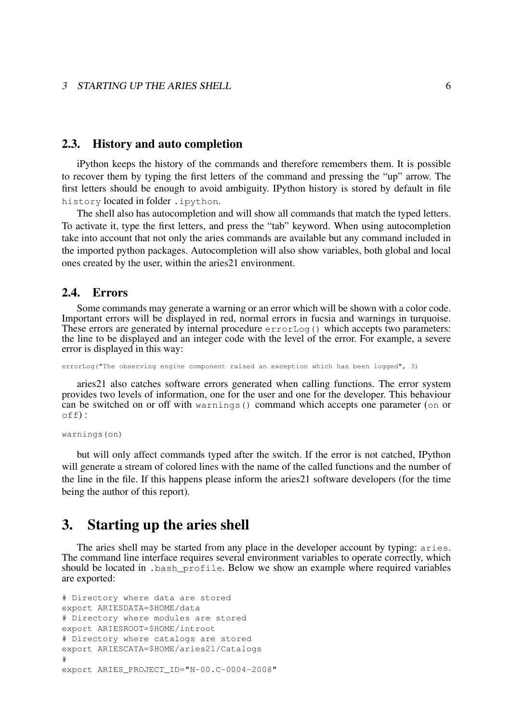#### 3 STARTING UP THE ARIES SHELL 6

#### 2.3. History and auto completion

iPython keeps the history of the commands and therefore remembers them. It is possible to recover them by typing the first letters of the command and pressing the "up" arrow. The first letters should be enough to avoid ambiguity. IPython history is stored by default in file history located in folder .ipython.

The shell also has autocompletion and will show all commands that match the typed letters. To activate it, type the first letters, and press the "tab" keyword. When using autocompletion take into account that not only the aries commands are available but any command included in the imported python packages. Autocompletion will also show variables, both global and local ones created by the user, within the aries21 environment.

#### 2.4. Errors

Some commands may generate a warning or an error which will be shown with a color code. Important errors will be displayed in red, normal errors in fucsia and warnings in turquoise. These errors are generated by internal procedure  $errorLog()$  which accepts two parameters: the line to be displayed and an integer code with the level of the error. For example, a severe error is displayed in this way:

errorLog("The observing engine component raised an exception which has been logged", 3)

aries21 also catches software errors generated when calling functions. The error system provides two levels of information, one for the user and one for the developer. This behaviour can be switched on or off with warnings() command which accepts one parameter (on or  $off)$ :

warnings(on)

but will only affect commands typed after the switch. If the error is not catched, IPython will generate a stream of colored lines with the name of the called functions and the number of the line in the file. If this happens please inform the aries21 software developers (for the time being the author of this report).

# 3. Starting up the aries shell

The aries shell may be started from any place in the developer account by typing: aries. The command line interface requires several environment variables to operate correctly, which should be located in .bash\_profile. Below we show an example where required variables are exported:

```
# Directory where data are stored
export ARIESDATA=$HOME/data
# Directory where modules are stored
export ARIESROOT=$HOME/introot
# Directory where catalogs are stored
export ARIESCATA=$HOME/aries21/Catalogs
#
export ARIES_PROJECT_ID="N-00.C-0004-2008"
```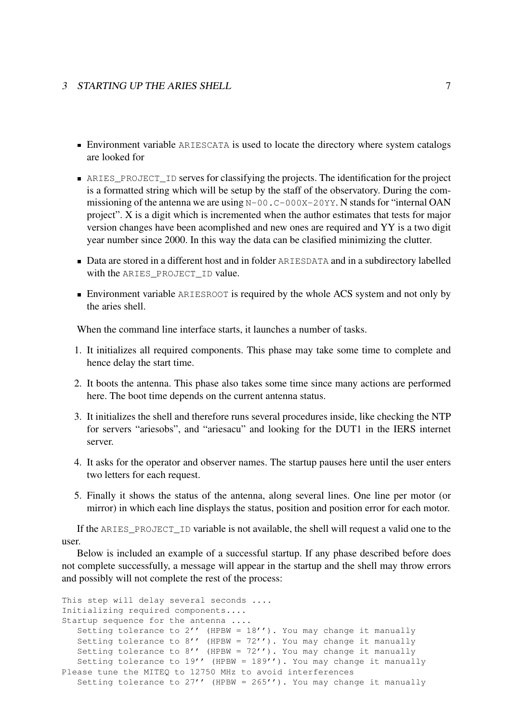#### 3 STARTING UP THE ARIES SHELL 7 7

- Environment variable ARIESCATA is used to locate the directory where system catalogs are looked for
- ARIES\_PROJECT\_ID serves for classifying the projects. The identification for the project is a formatted string which will be setup by the staff of the observatory. During the commissioning of the antenna we are using  $N-00$ . C-000X-20YY. N stands for "internal OAN project". X is a digit which is incremented when the author estimates that tests for major version changes have been acomplished and new ones are required and YY is a two digit year number since 2000. In this way the data can be clasified minimizing the clutter.
- Data are stored in a different host and in folder ARIESDATA and in a subdirectory labelled with the ARIES PROJECT ID value.
- Environment variable ARIESROOT is required by the whole ACS system and not only by the aries shell.

When the command line interface starts, it launches a number of tasks.

- 1. It initializes all required components. This phase may take some time to complete and hence delay the start time.
- 2. It boots the antenna. This phase also takes some time since many actions are performed here. The boot time depends on the current antenna status.
- 3. It initializes the shell and therefore runs several procedures inside, like checking the NTP for servers "ariesobs", and "ariesacu" and looking for the DUT1 in the IERS internet server.
- 4. It asks for the operator and observer names. The startup pauses here until the user enters two letters for each request.
- 5. Finally it shows the status of the antenna, along several lines. One line per motor (or mirror) in which each line displays the status, position and position error for each motor.

If the ARIES\_PROJECT\_ID variable is not available, the shell will request a valid one to the user.

Below is included an example of a successful startup. If any phase described before does not complete successfully, a message will appear in the startup and the shell may throw errors and possibly will not complete the rest of the process:

```
This step will delay several seconds ....
Initializing required components....
Startup sequence for the antenna ....
   Setting tolerance to 2'' (HPBW = 18''). You may change it manually
  Setting tolerance to 8' (HPBW = 72'). You may change it manually
  Setting tolerance to 8'' (HPBW = 72''). You may change it manually
  Setting tolerance to 19'' (HPBW = 189''). You may change it manually
Please tune the MITEQ to 12750 MHz to avoid interferences
   Setting tolerance to 27' (HPBW = 265'). You may change it manually
```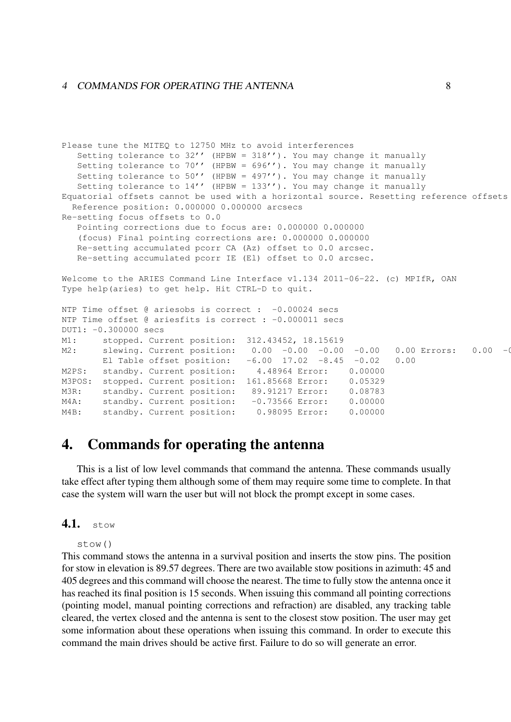#### 4 COMMANDS FOR OPERATING THE ANTENNA 8

```
Please tune the MITEQ to 12750 MHz to avoid interferences
  Setting tolerance to 32'' (HPBW = 318''). You may change it manually
   Setting tolerance to 70'' (HPBW = 696'). You may change it manually
  Setting tolerance to 50'' (HPBW = 497'). You may change it manually
  Setting tolerance to 14'' (HPBW = 133''). You may change it manually
Equatorial offsets cannot be used with a horizontal source. Resetting reference offsets
 Reference position: 0.000000 0.000000 arcsecs
Re-setting focus offsets to 0.0
  Pointing corrections due to focus are: 0.000000 0.000000
   (focus) Final pointing corrections are: 0.000000 0.000000
  Re-setting accumulated pcorr CA (Az) offset to 0.0 arcsec.
   Re-setting accumulated pcorr IE (El) offset to 0.0 arcsec.
Welcome to the ARIES Command Line Interface v1.134 2011-06-22. (c) MPIfR, OAN
Type help(aries) to get help. Hit CTRL-D to quit.
NTP Time offset @ ariesobs is correct : -0.00024 secs
NTP Time offset @ ariesfits is correct : -0.000011 secs
DUT1: -0.300000 secs
M1: stopped. Current position: 312.43452, 18.15619
M2: slewing. Current position: 0.00 -0.00 -0.00 -0.00 -0.00 D.00 Errors: 0.00 -0.00
        El Table offset position: -6.00 17.02 -8.45 -0.02 0.00
M2PS: standby. Current position: 4.48964 Error: 0.00000
M3POS: stopped. Current position: 161.85668 Error: 0.05329
M3R: standby. Current position: 89.91217 Error: 0.08783
M4A: standby. Current position: -0.73566 Error: 0.00000
M4B: standby. Current position: 0.98095 Error: 0.00000
```
# 4. Commands for operating the antenna

This is a list of low level commands that command the antenna. These commands usually take effect after typing them although some of them may require some time to complete. In that case the system will warn the user but will not block the prompt except in some cases.

# 4.1. stow

stow()

This command stows the antenna in a survival position and inserts the stow pins. The position for stow in elevation is 89.57 degrees. There are two available stow positions in azimuth: 45 and 405 degrees and this command will choose the nearest. The time to fully stow the antenna once it has reached its final position is 15 seconds. When issuing this command all pointing corrections (pointing model, manual pointing corrections and refraction) are disabled, any tracking table cleared, the vertex closed and the antenna is sent to the closest stow position. The user may get some information about these operations when issuing this command. In order to execute this command the main drives should be active first. Failure to do so will generate an error.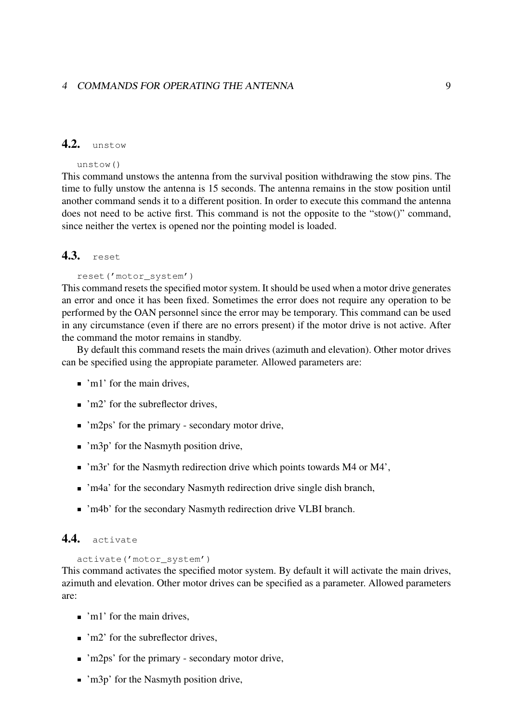# 4.2. unstow

#### unstow()

This command unstows the antenna from the survival position withdrawing the stow pins. The time to fully unstow the antenna is 15 seconds. The antenna remains in the stow position until another command sends it to a different position. In order to execute this command the antenna does not need to be active first. This command is not the opposite to the "stow()" command, since neither the vertex is opened nor the pointing model is loaded.

# 4.3. reset

#### reset('motor\_system')

This command resets the specified motor system. It should be used when a motor drive generates an error and once it has been fixed. Sometimes the error does not require any operation to be performed by the OAN personnel since the error may be temporary. This command can be used in any circumstance (even if there are no errors present) if the motor drive is not active. After the command the motor remains in standby.

By default this command resets the main drives (azimuth and elevation). Other motor drives can be specified using the appropiate parameter. Allowed parameters are:

- $\blacksquare$  'm1' for the main drives.
- $\blacksquare$  'm2' for the subreflector drives.
- 'm2ps' for the primary secondary motor drive,
- 'm3p' for the Nasmyth position drive,
- $\blacksquare$  'm3r' for the Nasmyth redirection drive which points towards M4 or M4'.
- 'm4a' for the secondary Nasmyth redirection drive single dish branch,
- 'm4b' for the secondary Nasmyth redirection drive VLBI branch.

### 4.4. activate

#### activate('motor\_system')

This command activates the specified motor system. By default it will activate the main drives, azimuth and elevation. Other motor drives can be specified as a parameter. Allowed parameters are:

- 'm1' for the main drives,
- $\blacksquare$  'm2' for the subreflector drives.
- 'm2ps' for the primary secondary motor drive,
- 'm3p' for the Nasmyth position drive,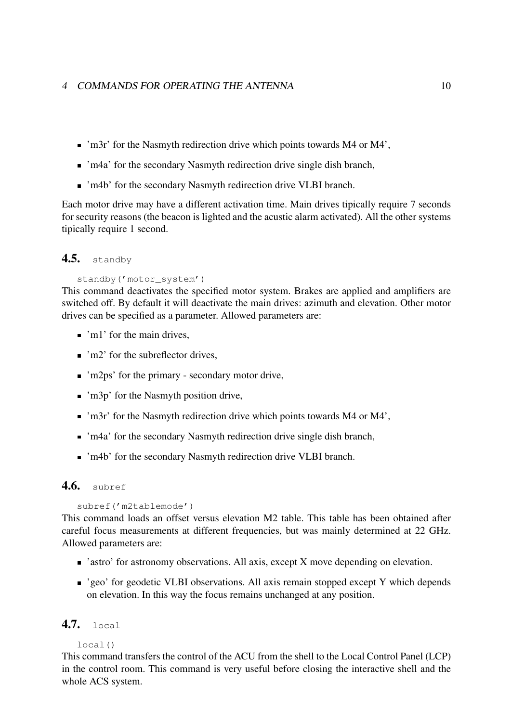#### 4 COMMANDS FOR OPERATING THE ANTENNA 10

- 'm3r' for the Nasmyth redirection drive which points towards M4 or M4',
- 'm4a' for the secondary Nasmyth redirection drive single dish branch,
- 'm4b' for the secondary Nasmyth redirection drive VLBI branch.

Each motor drive may have a different activation time. Main drives tipically require 7 seconds for security reasons (the beacon is lighted and the acustic alarm activated). All the other systems tipically require 1 second.

#### 4.5. standby

#### standby('motor\_system')

This command deactivates the specified motor system. Brakes are applied and amplifiers are switched off. By default it will deactivate the main drives: azimuth and elevation. Other motor drives can be specified as a parameter. Allowed parameters are:

- 'm<sup>1</sup>' for the main drives.
- $\blacksquare$  'm2' for the subreflector drives.
- 'm2ps' for the primary secondary motor drive,
- 'm3p' for the Nasmyth position drive,
- 'm3r' for the Nasmyth redirection drive which points towards M4 or M4',
- 'm4a' for the secondary Nasmyth redirection drive single dish branch,
- 'm4b' for the secondary Nasmyth redirection drive VLBI branch.

### **4.6.** subref

```
subref('m2tablemode')
```
This command loads an offset versus elevation M2 table. This table has been obtained after careful focus measurements at different frequencies, but was mainly determined at 22 GHz. Allowed parameters are:

- 'astro' for astronomy observations. All axis, except X move depending on elevation.
- 'geo' for geodetic VLBI observations. All axis remain stopped except Y which depends on elevation. In this way the focus remains unchanged at any position.

# 4.7. local

#### $local()$

This command transfers the control of the ACU from the shell to the Local Control Panel (LCP) in the control room. This command is very useful before closing the interactive shell and the whole ACS system.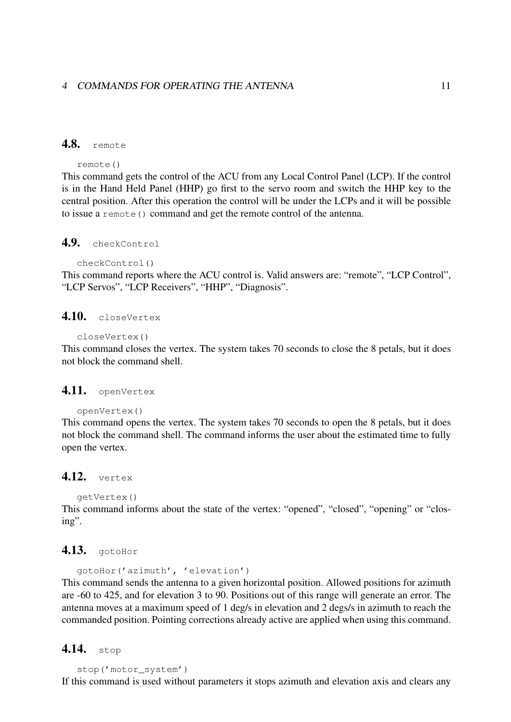# 4.8. remote

```
remote()
```
This command gets the control of the ACU from any Local Control Panel (LCP). If the control is in the Hand Held Panel (HHP) go first to the servo room and switch the HHP key to the central position. After this operation the control will be under the LCPs and it will be possible to issue a remote () command and get the remote control of the antenna.

# 4.9. checkControl

```
checkControl()
```
This command reports where the ACU control is. Valid answers are: "remote", "LCP Control", "LCP Servos", "LCP Receivers", "HHP", "Diagnosis".

# 4.10. closeVertex

```
closeVertex()
```
This command closes the vertex. The system takes 70 seconds to close the 8 petals, but it does not block the command shell.

# 4.11. openVertex

```
openVertex()
```
This command opens the vertex. The system takes 70 seconds to open the 8 petals, but it does not block the command shell. The command informs the user about the estimated time to fully open the vertex.

# 4.12. vertex

```
getVertex()
```
This command informs about the state of the vertex: "opened", "closed", "opening" or "closing".

# **4.13.** gotoHor

```
gotoHor('azimuth', 'elevation')
This command sends the antenna to a given horizontal position. Allowed positions for azimuth
are -60 to 425, and for elevation 3 to 90. Positions out of this range will generate an error. The
antenna moves at a maximum speed of 1 deg/s in elevation and 2 degs/s in azimuth to reach the
commanded position. Pointing corrections already active are applied when using this command.
```
# 4.14. stop

```
stop('motor_system')
```
If this command is used without parameters it stops azimuth and elevation axis and clears any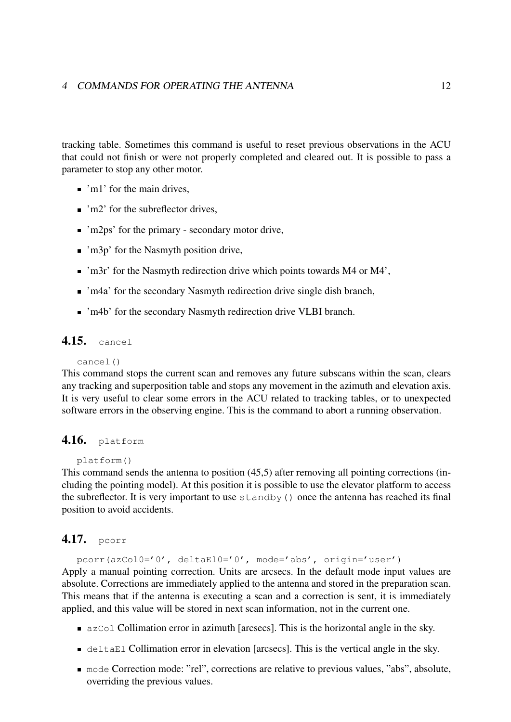#### 4 COMMANDS FOR OPERATING THE ANTENNA 12

tracking table. Sometimes this command is useful to reset previous observations in the ACU that could not finish or were not properly completed and cleared out. It is possible to pass a parameter to stop any other motor.

- 'm1' for the main drives,
- $\blacksquare$  'm2' for the subreflector drives.
- 'm2ps' for the primary secondary motor drive,
- 'm3p' for the Nasmyth position drive,
- 'm3r' for the Nasmyth redirection drive which points towards M4 or M4',
- 'm4a' for the secondary Nasmyth redirection drive single dish branch,
- 'm4b' for the secondary Nasmyth redirection drive VLBI branch.

# 4.15. cancel

#### cancel()

This command stops the current scan and removes any future subscans within the scan, clears any tracking and superposition table and stops any movement in the azimuth and elevation axis. It is very useful to clear some errors in the ACU related to tracking tables, or to unexpected software errors in the observing engine. This is the command to abort a running observation.

### 4.16. platform

#### platform()

This command sends the antenna to position (45,5) after removing all pointing corrections (including the pointing model). At this position it is possible to use the elevator platform to access the subreflector. It is very important to use standby() once the antenna has reached its final position to avoid accidents.

#### 4.17. pcorr

pcorr(azCol0='0', deltaEl0='0', mode='abs', origin='user') Apply a manual pointing correction. Units are arcsecs. In the default mode input values are absolute. Corrections are immediately applied to the antenna and stored in the preparation scan. This means that if the antenna is executing a scan and a correction is sent, it is immediately applied, and this value will be stored in next scan information, not in the current one.

- azCol Collimation error in azimuth [arcsecs]. This is the horizontal angle in the sky.
- deltaEl Collimation error in elevation [arcsecs]. This is the vertical angle in the sky.
- mode Correction mode: "rel", corrections are relative to previous values, "abs", absolute, overriding the previous values.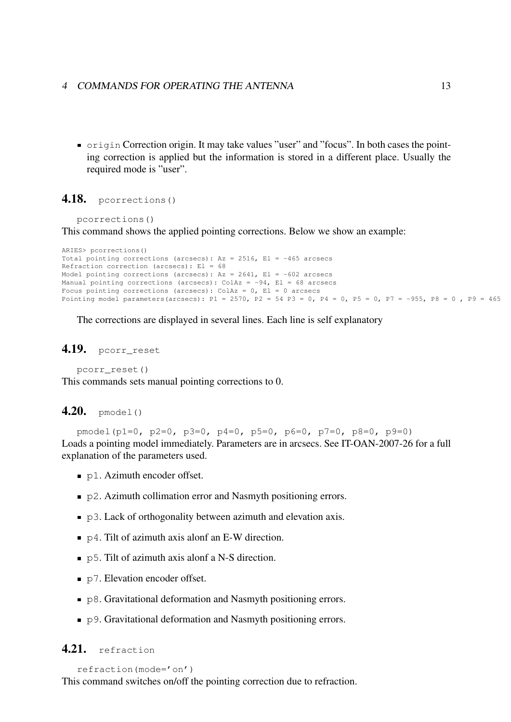#### 4 COMMANDS FOR OPERATING THE ANTENNA 13

origin Correction origin. It may take values "user" and "focus". In both cases the pointing correction is applied but the information is stored in a different place. Usually the required mode is "user".

#### 4.18. pcorrections()

```
pcorrections()
```
This command shows the applied pointing corrections. Below we show an example:

```
ARIES> pcorrections()
Total pointing corrections (arcsecs): Az = 2516, EI = -465 arcsecs
Refraction correction (arcsecs): El = 68
Model pointing corrections (arcsecs): Az = 2641, El = -602 arcsecs
Manual pointing corrections (arcsecs): ColAz = -94, El = 68 arcsecs
Focus pointing corrections (arcsecs): ColAz = 0, El = 0 arcsecs
Pointing model parameters(arcsecs): P1 = 2570, P2 = 54 P3 = 0, P4 = 0, P5 = 0, P7 = -955, P8 = 0, P9 = 465
```
The corrections are displayed in several lines. Each line is self explanatory

#### 4.19. pcorr\_reset

pcorr\_reset()

This commands sets manual pointing corrections to 0.

### $4.20.$  pmodel()

pmodel(p1=0, p2=0, p3=0, p4=0, p5=0, p6=0, p7=0, p8=0, p9=0) Loads a pointing model immediately. Parameters are in arcsecs. See IT-OAN-2007-26 for a full explanation of the parameters used.

- p1. Azimuth encoder offset.
- p2. Azimuth collimation error and Nasmyth positioning errors.
- p3. Lack of orthogonality between azimuth and elevation axis.
- $\bullet$  p4. Tilt of azimuth axis alonf an E-W direction.
- p5. Tilt of azimuth axis alonf a N-S direction.
- p7. Elevation encoder offset.
- p8. Gravitational deformation and Nasmyth positioning errors.
- p9. Gravitational deformation and Nasmyth positioning errors.

# 4.21. refraction

```
refraction(mode='on')
```
This command switches on/off the pointing correction due to refraction.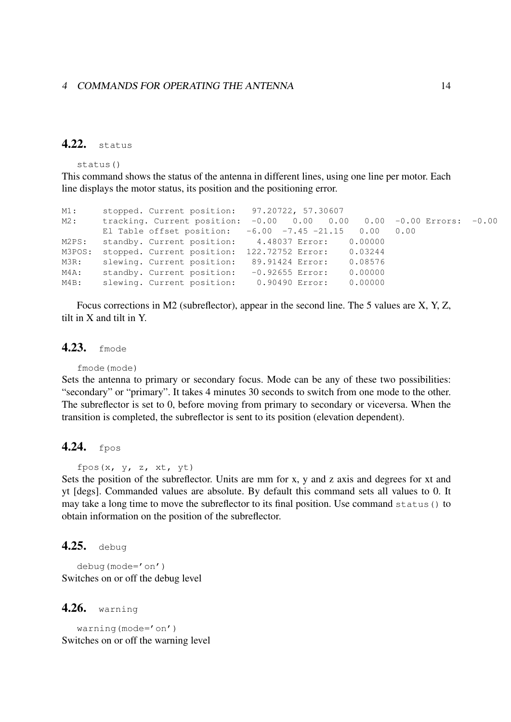# 4.22. status

status()

This command shows the status of the antenna in different lines, using one line per motor. Each line displays the motor status, its position and the positioning error.

```
M1: stopped. Current position: 97.20722, 57.30607
M2: tracking. Current position: -0.00 0.00 0.00 0.00 -0.00 Errors: -0.00
      El Table offset position: -6.00 -7.45 -21.15 0.00 0.00
M2PS: standby. Current position: 4.48037 Error: 0.00000
M3POS: stopped. Current position: 122.72752 Error: 0.03244
M3R: slewing. Current position: 89.91424 Error: 0.08576
M4A: standby. Current position: -0.92655 Error: 0.00000
M4B: slewing. Current position: 0.90490 Error: 0.00000
```
Focus corrections in M2 (subreflector), appear in the second line. The 5 values are X, Y, Z, tilt in X and tilt in Y.

#### 4.23. fmode

fmode(mode)

Sets the antenna to primary or secondary focus. Mode can be any of these two possibilities: "secondary" or "primary". It takes 4 minutes 30 seconds to switch from one mode to the other. The subreflector is set to 0, before moving from primary to secondary or viceversa. When the transition is completed, the subreflector is sent to its position (elevation dependent).

#### 4.24. fpos

fpos $(x, y, z, xt, yt)$ 

Sets the position of the subreflector. Units are mm for x, y and z axis and degrees for xt and yt [degs]. Commanded values are absolute. By default this command sets all values to 0. It may take a long time to move the subreflector to its final position. Use command status() to obtain information on the position of the subreflector.

### 4.25. debug

debug(mode='on') Switches on or off the debug level

#### 4.26. warning

warning(mode='on') Switches on or off the warning level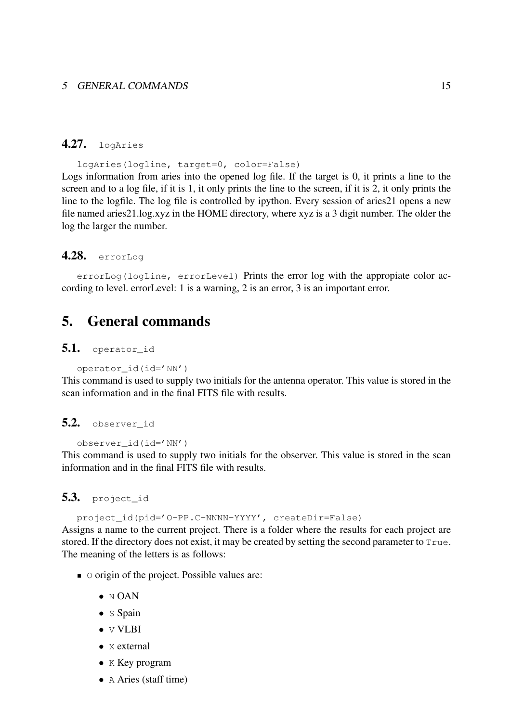#### 5 GENERAL COMMANDS 15

#### 4.27. logAries

logAries(logline, target=0, color=False) Logs information from aries into the opened log file. If the target is 0, it prints a line to the screen and to a log file, if it is 1, it only prints the line to the screen, if it is 2, it only prints the line to the logfile. The log file is controlled by ipython. Every session of aries21 opens a new file named aries21.log.xyz in the HOME directory, where xyz is a 3 digit number. The older the log the larger the number.

# 4.28. errorLog

errorLog(logLine, errorLevel) Prints the error log with the appropiate color according to level. errorLevel: 1 is a warning, 2 is an error, 3 is an important error.

# 5. General commands

#### 5.1. operator\_id

```
operator_id(id='NN')
```
This command is used to supply two initials for the antenna operator. This value is stored in the scan information and in the final FITS file with results.

#### 5.2. observer id

observer\_id(id='NN')

This command is used to supply two initials for the observer. This value is stored in the scan information and in the final FITS file with results.

# 5.3. project\_id

project\_id(pid='O-PP.C-NNNN-YYYY', createDir=False)

Assigns a name to the current project. There is a folder where the results for each project are stored. If the directory does not exist, it may be created by setting the second parameter to True. The meaning of the letters is as follows:

- $\Box$   $\Diamond$  origin of the project. Possible values are:
	- $\bullet$  N OAN
	- S Spain
	- **v VLBI**
	- **x** external
	- K Key program
	- A Aries (staff time)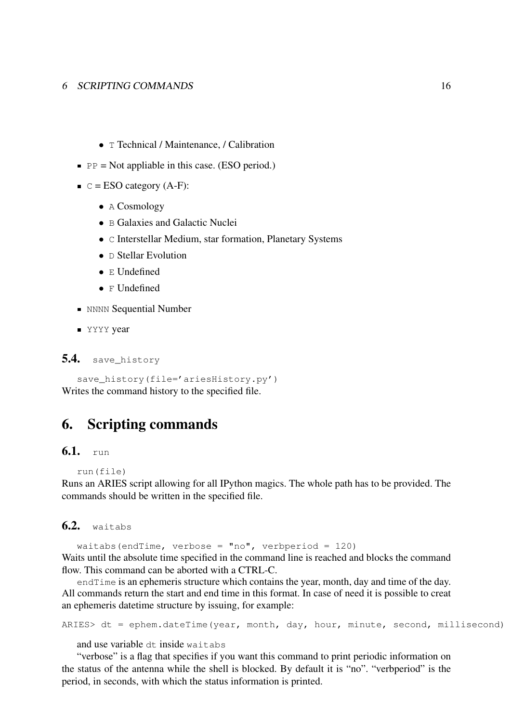#### 6 SCRIPTING COMMANDS 16

- T Technical / Maintenance, / Calibration
- $\blacksquare$  PP = Not appliable in this case. (ESO period.)
- $C = ESO$  category (A-F):
	- A Cosmology
	- B Galaxies and Galactic Nuclei
	- C Interstellar Medium, star formation, Planetary Systems
	- D Stellar Evolution
	- E Undefined
	- F Undefined
- **NNNN** Sequential Number
- **YYYY** year

5.4. save\_history

```
save_history(file='ariesHistory.py')
Writes the command history to the specified file.
```
# 6. Scripting commands

# 6.1. run

```
run(file)
```
Runs an ARIES script allowing for all IPython magics. The whole path has to be provided. The commands should be written in the specified file.

# 6.2. waitabs

waitabs(endTime, verbose = "no", verbperiod =  $120$ ) Waits until the absolute time specified in the command line is reached and blocks the command flow. This command can be aborted with a CTRL-C.

endTime is an ephemeris structure which contains the year, month, day and time of the day. All commands return the start and end time in this format. In case of need it is possible to creat an ephemeris datetime structure by issuing, for example:

```
ARIES> dt = ephem.dateTime(year, month, day, hour, minute, second, millisecond)
```
and use variable dt inside waitabs

"verbose" is a flag that specifies if you want this command to print periodic information on the status of the antenna while the shell is blocked. By default it is "no". "verbperiod" is the period, in seconds, with which the status information is printed.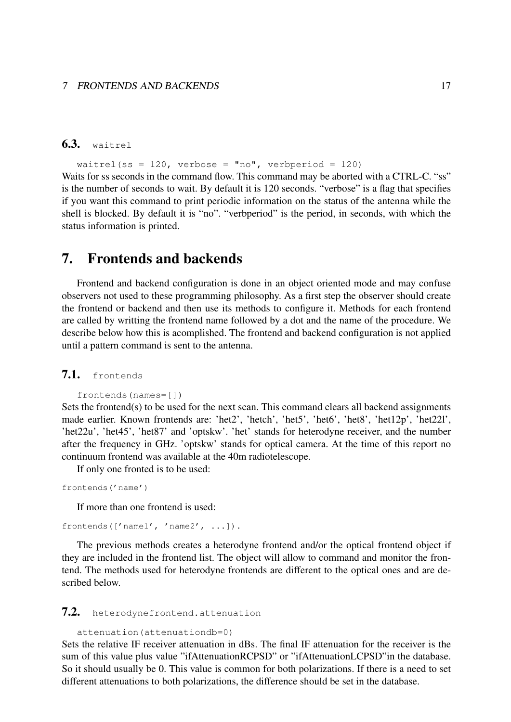# 6.3. waitrel

#### waitrel(ss = 120, verbose = "no", verbperiod = 120)

Waits for ss seconds in the command flow. This command may be aborted with a CTRL-C. "ss" is the number of seconds to wait. By default it is 120 seconds. "verbose" is a flag that specifies if you want this command to print periodic information on the status of the antenna while the shell is blocked. By default it is "no". "verbperiod" is the period, in seconds, with which the status information is printed.

# 7. Frontends and backends

Frontend and backend configuration is done in an object oriented mode and may confuse observers not used to these programming philosophy. As a first step the observer should create the frontend or backend and then use its methods to configure it. Methods for each frontend are called by writting the frontend name followed by a dot and the name of the procedure. We describe below how this is acomplished. The frontend and backend configuration is not applied until a pattern command is sent to the antenna.

# 7.1. frontends

```
frontends(names=[])
```
Sets the frontend(s) to be used for the next scan. This command clears all backend assignments made earlier. Known frontends are: 'het2', 'hetch', 'het5', 'het6', 'het8', 'het12p', 'het22l', 'het22u', 'het45', 'het87' and 'optskw'. 'het' stands for heterodyne receiver, and the number after the frequency in GHz. 'optskw' stands for optical camera. At the time of this report no continuum frontend was available at the 40m radiotelescope.

If only one fronted is to be used:

```
frontends('name')
```
If more than one frontend is used:

frontends(['name1', 'name2', ...]).

The previous methods creates a heterodyne frontend and/or the optical frontend object if they are included in the frontend list. The object will allow to command and monitor the frontend. The methods used for heterodyne frontends are different to the optical ones and are described below.

#### 7.2. heterodynefrontend.attenuation

```
attenuation(attenuationdb=0)
```
Sets the relative IF receiver attenuation in dBs. The final IF attenuation for the receiver is the sum of this value plus value "ifAttenuationRCPSD" or "ifAttenuationLCPSD"in the database. So it should usually be 0. This value is common for both polarizations. If there is a need to set different attenuations to both polarizations, the difference should be set in the database.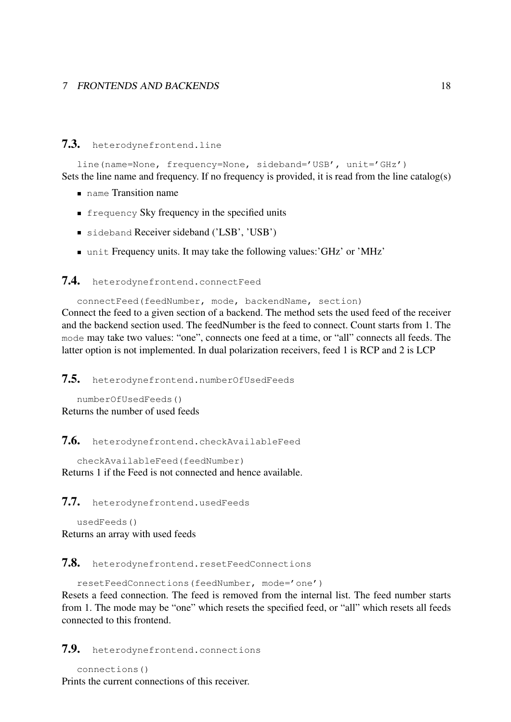#### 7.3. heterodynefrontend.line

line(name=None, frequency=None, sideband='USB', unit='GHz') Sets the line name and frequency. If no frequency is provided, it is read from the line catalog(s)

- name Transition name
- **Filter** frequency Sky frequency in the specified units
- sideband Receiver sideband ('LSB', 'USB')
- unit Frequency units. It may take the following values:'GHz' or 'MHz'

#### 7.4. heterodynefrontend.connectFeed

connectFeed(feedNumber, mode, backendName, section) Connect the feed to a given section of a backend. The method sets the used feed of the receiver and the backend section used. The feedNumber is the feed to connect. Count starts from 1. The mode may take two values: "one", connects one feed at a time, or "all" connects all feeds. The latter option is not implemented. In dual polarization receivers, feed 1 is RCP and 2 is LCP

7.5. heterodynefrontend.numberOfUsedFeeds

```
numberOfUsedFeeds()
Returns the number of used feeds
```
7.6. heterodynefrontend.checkAvailableFeed

checkAvailableFeed(feedNumber) Returns 1 if the Feed is not connected and hence available.

7.7. heterodynefrontend.usedFeeds

usedFeeds() Returns an array with used feeds

7.8. heterodynefrontend.resetFeedConnections

resetFeedConnections(feedNumber, mode='one')

Resets a feed connection. The feed is removed from the internal list. The feed number starts from 1. The mode may be "one" which resets the specified feed, or "all" which resets all feeds connected to this frontend.

7.9. heterodynefrontend.connections

```
connections()
```
Prints the current connections of this receiver.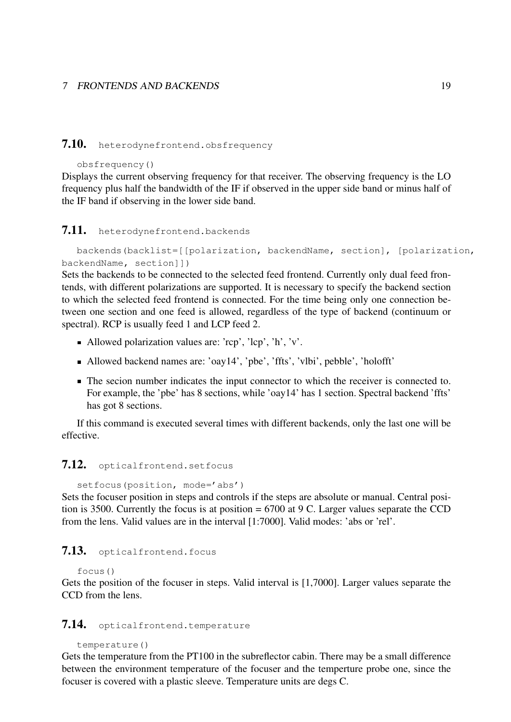# 7.10. heterodynefrontend.obsfrequency

#### obsfrequency()

Displays the current observing frequency for that receiver. The observing frequency is the LO frequency plus half the bandwidth of the IF if observed in the upper side band or minus half of the IF band if observing in the lower side band.

#### 7.11. heterodynefrontend.backends

backends(backlist=[[polarization, backendName, section], [polarization, backendName, section]])

Sets the backends to be connected to the selected feed frontend. Currently only dual feed frontends, with different polarizations are supported. It is necessary to specify the backend section to which the selected feed frontend is connected. For the time being only one connection between one section and one feed is allowed, regardless of the type of backend (continuum or spectral). RCP is usually feed 1 and LCP feed 2.

- Allowed polarization values are: ' $rcp$ ', ' $lcp$ ', 'h', 'v'.
- Allowed backend names are: 'oay14', 'pbe', 'ffts', 'vlbi', pebble', 'holofft'
- The secion number indicates the input connector to which the receiver is connected to. For example, the 'pbe' has 8 sections, while 'oay14' has 1 section. Spectral backend 'ffts' has got 8 sections.

If this command is executed several times with different backends, only the last one will be effective.

#### 7.12. opticalfrontend.setfocus

```
setfocus(position, mode='abs')
Sets the focuser position in steps and controls if the steps are absolute or manual. Central posi-
tion is 3500. Currently the focus is at position = 6700 at 9 C. Larger values separate the CCD
from the lens. Valid values are in the interval [1:7000]. Valid modes: 'abs or 'rel'.
```
#### 7.13. opticalfrontend.focus

#### focus()

Gets the position of the focuser in steps. Valid interval is [1,7000]. Larger values separate the CCD from the lens.

#### 7.14. opticalfrontend.temperature

```
temperature()
```
Gets the temperature from the PT100 in the subreflector cabin. There may be a small difference between the environment temperature of the focuser and the temperture probe one, since the focuser is covered with a plastic sleeve. Temperature units are degs C.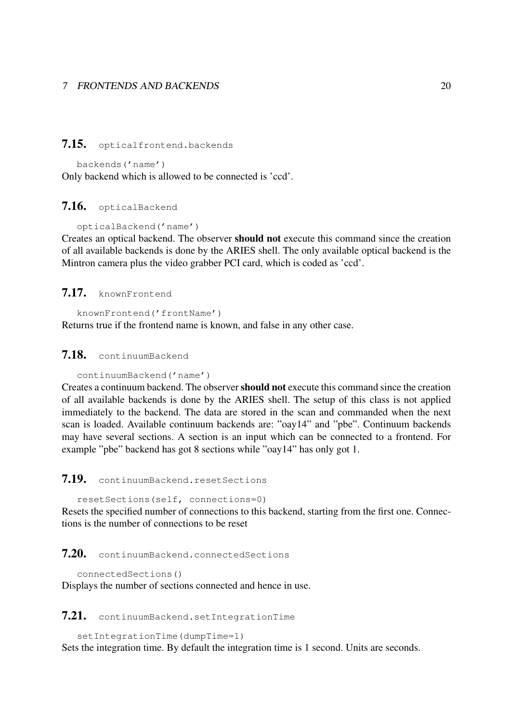#### 7.15. opticalfrontend.backends

backends('name') Only backend which is allowed to be connected is 'ccd'.

#### 7.16. opticalBackend

opticalBackend('name')

Creates an optical backend. The observer should not execute this command since the creation of all available backends is done by the ARIES shell. The only available optical backend is the Mintron camera plus the video grabber PCI card, which is coded as 'ccd'.

# 7.17. knownFrontend

knownFrontend('frontName')

Returns true if the frontend name is known, and false in any other case.

### 7.18. continuumBackend

```
continuumBackend('name')
```
Creates a continuum backend. The observershould not execute this command since the creation of all available backends is done by the ARIES shell. The setup of this class is not applied immediately to the backend. The data are stored in the scan and commanded when the next scan is loaded. Available continuum backends are: "oay14" and "pbe". Continuum backends may have several sections. A section is an input which can be connected to a frontend. For example "pbe" backend has got 8 sections while "oay14" has only got 1.

## 7.19. continuumBackend.resetSections

resetSections(self, connections=0)

Resets the specified number of connections to this backend, starting from the first one. Connections is the number of connections to be reset

# 7.20. continuumBackend.connectedSections

```
connectedSections()
```
Displays the number of sections connected and hence in use.

### 7.21. continuumBackend.setIntegrationTime

```
setIntegrationTime(dumpTime=1)
Sets the integration time. By default the integration time is 1 second. Units are seconds.
```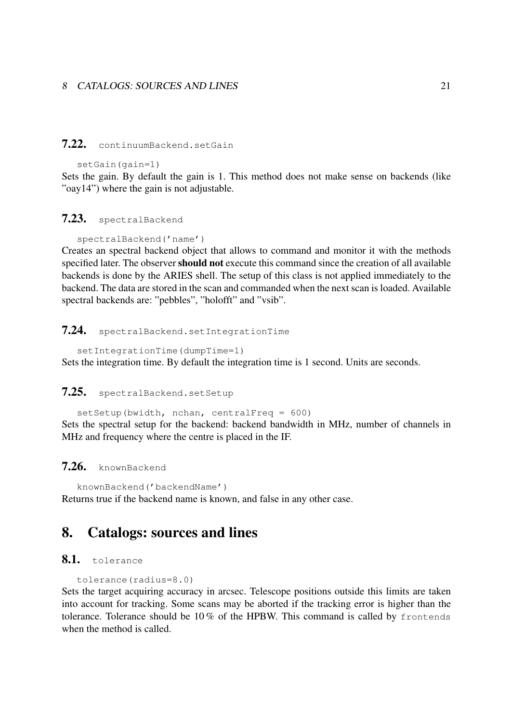#### 8 CATALOGS: SOURCES AND LINES 21

### 7.22. continuumBackend.setGain

setGain(gain=1)

Sets the gain. By default the gain is 1. This method does not make sense on backends (like "oay14") where the gain is not adjustable.

#### 7.23. spectralBackend

spectralBackend('name')

Creates an spectral backend object that allows to command and monitor it with the methods specified later. The observer should not execute this command since the creation of all available backends is done by the ARIES shell. The setup of this class is not applied immediately to the backend. The data are stored in the scan and commanded when the next scan is loaded. Available spectral backends are: "pebbles", "holofft" and "vsib".

#### 7.24. spectralBackend.setIntegrationTime

setIntegrationTime(dumpTime=1) Sets the integration time. By default the integration time is 1 second. Units are seconds.

#### 7.25. spectralBackend.setSetup

setSetup(bwidth, nchan, centralFreq =  $600$ )

Sets the spectral setup for the backend: backend bandwidth in MHz, number of channels in MHz and frequency where the centre is placed in the IF.

# 7.26. knownBackend

knownBackend('backendName') Returns true if the backend name is known, and false in any other case.

# 8. Catalogs: sources and lines

#### 8.1. tolerance

```
tolerance(radius=8.0)
```
Sets the target acquiring accuracy in arcsec. Telescope positions outside this limits are taken into account for tracking. Some scans may be aborted if the tracking error is higher than the tolerance. Tolerance should be 10 % of the HPBW. This command is called by frontends when the method is called.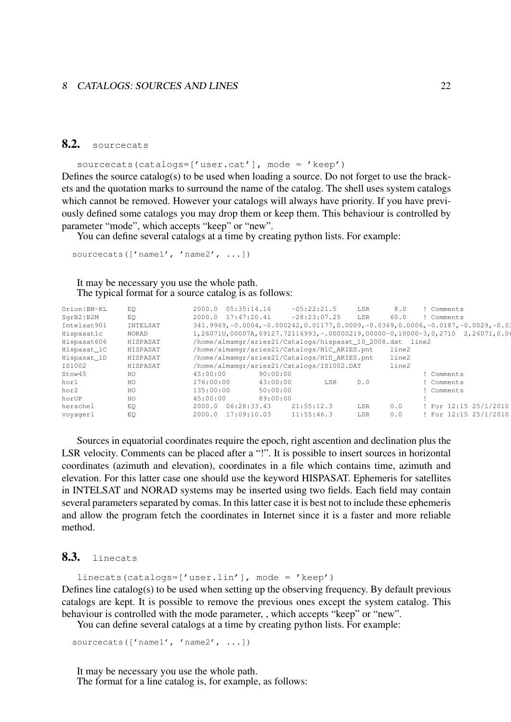#### 8 CATALOGS: SOURCES AND LINES 22

# 8.2. sourcecats

sourcecats(catalogs=['user.cat'], mode = 'keep')

Defines the source catalog(s) to be used when loading a source. Do not forget to use the brackets and the quotation marks to surround the name of the catalog. The shell uses system catalogs which cannot be removed. However your catalogs will always have priority. If you have previously defined some catalogs you may drop them or keep them. This behaviour is controlled by parameter "mode", which accepts "keep" or "new".

You can define several catalogs at a time by creating python lists. For example:

sourcecats(['name1', 'name2', ...])

It may be necessary you use the whole path. The typical format for a source catalog is as follows:

| Orion   BN-KL | EO.      | 05:35:14.16<br>2000.0                                             | $-05:22:21.5$  | LSR | 8.0   | Comments                                                                                    |
|---------------|----------|-------------------------------------------------------------------|----------------|-----|-------|---------------------------------------------------------------------------------------------|
| SqrB2 B2M     | EO.      | 2000.0 17:47:20.41                                                | $-28:23:07.25$ | LSR | 60.0  | Comments                                                                                    |
| Intelsat901   | INTELSAT |                                                                   |                |     |       | $341.9969, -0.0004, -0.000242, 0.01177, 0.0009, -0.0369, 0.0006, -0.0187, -0.0029, -0.0369$ |
| Hispasatlc    | NORAD    | $1,260710,00007A,09127.72116993,-00000219,00000-0,10000-3,0,2710$ |                |     |       | 2,26071,0.06                                                                                |
| Hispasat606   | HISPASAT | /home/almamqr/aries21/Catalogs/hispasat_10_2008.dat line2         |                |     |       |                                                                                             |
| Hispasat_1C   | HISPASAT | /home/almamgr/aries21/Catalogs/H1C_ARIES.pnt                      |                |     | line2 |                                                                                             |
| Hispasat_1D   | HISPASAT | /home/almamqr/aries21/Catalogs/H1D_ARIES.pnt                      |                |     | line2 |                                                                                             |
| IS1002        | HISPASAT | /home/almamqr/aries21/Catalogs/IS1002.DAT                         |                |     | line2 |                                                                                             |
| Stow45        | HO       | 45:00:00<br>90:00:00                                              |                |     |       | Comments                                                                                    |
| hor1          | HO       | 176:00:00<br>43:00:00                                             | LSR            | 0.0 |       | Comments                                                                                    |
| hor2          | HO       | 135:00:00<br>50:00:00                                             |                |     |       | Comments                                                                                    |
| horUP         | HO       | 45:00:00<br>89:00:00                                              |                |     |       |                                                                                             |
| herschel      | EQ       | 06:28:33.43<br>2000.0                                             | 21:55:12.3     | LSR | 0.0   | ! For 12:15 25/1/2010                                                                       |
| voyagerl      | EQ       | 2000.0 17:09:10.03                                                | 11:55:46.3     | LSR | 0.0   | ! For 12:15 25/1/2010                                                                       |
|               |          |                                                                   |                |     |       |                                                                                             |

Sources in equatorial coordinates require the epoch, right ascention and declination plus the LSR velocity. Comments can be placed after a "!". It is possible to insert sources in horizontal coordinates (azimuth and elevation), coordinates in a file which contains time, azimuth and elevation. For this latter case one should use the keyword HISPASAT. Ephemeris for satellites in INTELSAT and NORAD systems may be inserted using two fields. Each field may contain several parameters separated by comas. In this latter case it is best not to include these ephemeris and allow the program fetch the coordinates in Internet since it is a faster and more reliable method.

# 8.3. linecats

linecats(catalogs=['user.lin'], mode = 'keep') Defines line catalog(s) to be used when setting up the observing frequency. By default previous catalogs are kept. It is possible to remove the previous ones except the system catalog. This behaviour is controlled with the mode parameter, , which accepts "keep" or "new".

You can define several catalogs at a time by creating python lists. For example:

sourcecats(['name1', 'name2', ...])

It may be necessary you use the whole path.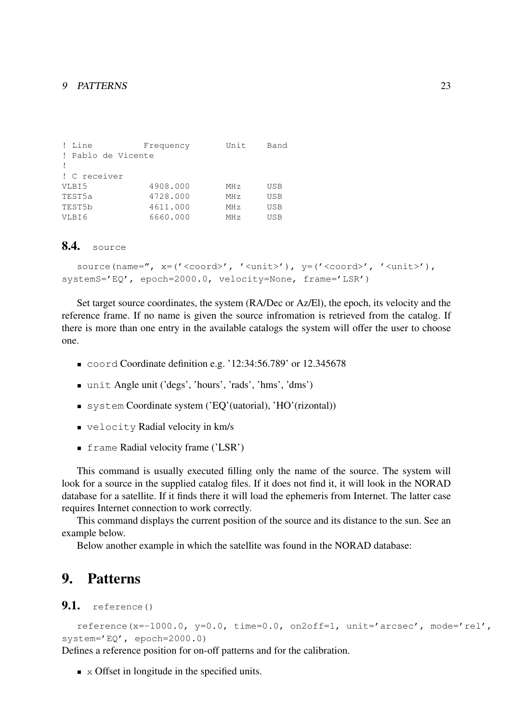| ! Line             | Frequency | Unit            | Band |
|--------------------|-----------|-----------------|------|
| ! Pablo de Vicente |           |                 |      |
|                    |           |                 |      |
| ! C receiver       |           |                 |      |
| VLBI5              | 4908.000  | MH z            | USB  |
| TEST5a             | 4728.000  | MHz             | USB  |
| TEST5b             | 4611.000  | MH <sub>z</sub> | USB  |
| VLBI6              | 6660.000  | MH z            | USB  |

### 8.4. source

```
source(name=", x=('<coord>', '<unit>'), y=('<coord>', '<unit>'),
systemS='EQ', epoch=2000.0, velocity=None, frame='LSR')
```
Set target source coordinates, the system (RA/Dec or Az/El), the epoch, its velocity and the reference frame. If no name is given the source infromation is retrieved from the catalog. If there is more than one entry in the available catalogs the system will offer the user to choose one.

- coord Coordinate definition e.g. '12:34:56.789' or 12.345678
- unit Angle unit ('degs', 'hours', 'rads', 'hms', 'dms')
- system Coordinate system ('EQ'(uatorial), 'HO'(rizontal))
- velocity Radial velocity in km/s
- **Firame Radial velocity frame ('LSR')**

This command is usually executed filling only the name of the source. The system will look for a source in the supplied catalog files. If it does not find it, it will look in the NORAD database for a satellite. If it finds there it will load the ephemeris from Internet. The latter case requires Internet connection to work correctly.

This command displays the current position of the source and its distance to the sun. See an example below.

Below another example in which the satellite was found in the NORAD database:

# 9. Patterns

### 9.1. reference()

```
reference(x=-1000.0, y=0.0, time=0.0, on2off=1, unit='arcsec', mode='rel',
system='EQ', epoch=2000.0)
```
Defines a reference position for on-off patterns and for the calibration.

 $\blacksquare$  x Offset in longitude in the specified units.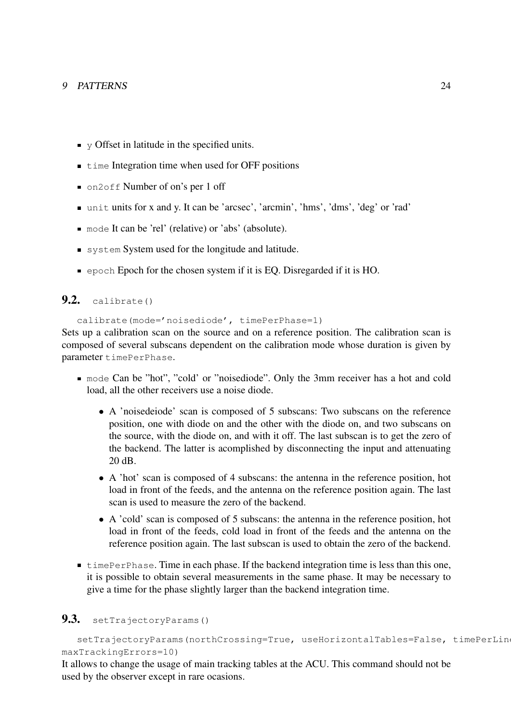- $\bullet$  y Offset in latitude in the specified units.
- $\blacksquare$  time Integration time when used for OFF positions
- on2off Number of on's per 1 off
- unit units for x and y. It can be 'arcsec', 'arcmin', 'hms', 'dms', 'deg' or 'rad'
- mode It can be 'rel' (relative) or 'abs' (absolute).
- system System used for the longitude and latitude.
- epoch Epoch for the chosen system if it is EQ. Disregarded if it is HO.

## $9.2.$  calibrate()

calibrate(mode='noisediode', timePerPhase=1)

Sets up a calibration scan on the source and on a reference position. The calibration scan is composed of several subscans dependent on the calibration mode whose duration is given by parameter timePerPhase.

- mode Can be "hot", "cold' or "noisediode". Only the 3mm receiver has a hot and cold load, all the other receivers use a noise diode.
	- A 'noisedeiode' scan is composed of 5 subscans: Two subscans on the reference position, one with diode on and the other with the diode on, and two subscans on the source, with the diode on, and with it off. The last subscan is to get the zero of the backend. The latter is acomplished by disconnecting the input and attenuating 20 dB.
	- A 'hot' scan is composed of 4 subscans: the antenna in the reference position, hot load in front of the feeds, and the antenna on the reference position again. The last scan is used to measure the zero of the backend.
	- A 'cold' scan is composed of 5 subscans: the antenna in the reference position, hot load in front of the feeds, cold load in front of the feeds and the antenna on the reference position again. The last subscan is used to obtain the zero of the backend.
- **timePerPhase. Time in each phase. If the backend integration time is less than this one,** it is possible to obtain several measurements in the same phase. It may be necessary to give a time for the phase slightly larger than the backend integration time.

# 9.3. setTrajectoryParams()

setTrajectoryParams(northCrossing=True, useHorizontalTables=False, timePerLin maxTrackingErrors=10)

It allows to change the usage of main tracking tables at the ACU. This command should not be used by the observer except in rare ocasions.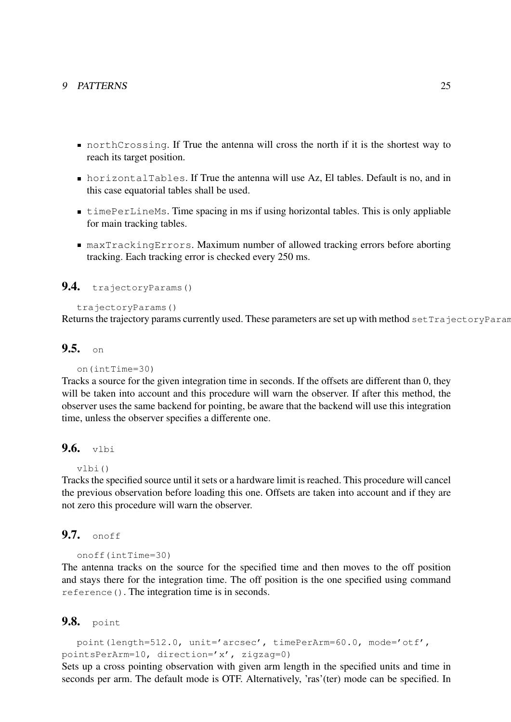- northCrossing. If True the antenna will cross the north if it is the shortest way to reach its target position.
- horizontalTables. If True the antenna will use Az, El tables. Default is no, and in this case equatorial tables shall be used.
- timePerLineMs. Time spacing in ms if using horizontal tables. This is only appliable for main tracking tables.
- maxTrackingErrors. Maximum number of allowed tracking errors before aborting tracking. Each tracking error is checked every 250 ms.

# 9.4. trajectoryParams()

```
trajectoryParams()
```
Returns the trajectory params currently used. These parameters are set up with method set TrajectoryParam

#### $9.5.$  on

#### on(intTime=30)

Tracks a source for the given integration time in seconds. If the offsets are different than 0, they will be taken into account and this procedure will warn the observer. If after this method, the observer uses the same backend for pointing, be aware that the backend will use this integration time, unless the observer specifies a differente one.

#### $9.6.$  vlbi

```
vlbi()
```
Tracks the specified source until it sets or a hardware limit is reached. This procedure will cancel the previous observation before loading this one. Offsets are taken into account and if they are not zero this procedure will warn the observer.

#### 9.7. onoff

```
onoff(intTime=30)
```
The antenna tracks on the source for the specified time and then moves to the off position and stays there for the integration time. The off position is the one specified using command reference(). The integration time is in seconds.

#### 9.8. point

```
point(length=512.0, unit='arcsec', timePerArm=60.0, mode='otf',
pointsPerArm=10, direction='x', zigzag=0)
```
Sets up a cross pointing observation with given arm length in the specified units and time in seconds per arm. The default mode is OTF. Alternatively, 'ras'(ter) mode can be specified. In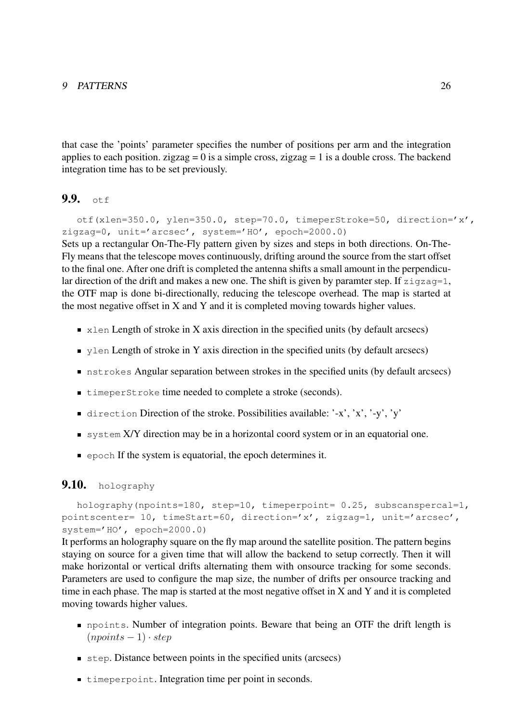that case the 'points' parameter specifies the number of positions per arm and the integration applies to each position. zigzag = 0 is a simple cross, zigzag = 1 is a double cross. The backend integration time has to be set previously.

# $9.9.$  otf

otf(xlen=350.0, ylen=350.0, step=70.0, timeperStroke=50, direction='x', zigzag=0, unit='arcsec', system='HO', epoch=2000.0) Sets up a rectangular On-The-Fly pattern given by sizes and steps in both directions. On-The-Fly means that the telescope moves continuously, drifting around the source from the start offset to the final one. After one drift is completed the antenna shifts a small amount in the perpendicular direction of the drift and makes a new one. The shift is given by paramter step. If  $zigzaq=1$ , the OTF map is done bi-directionally, reducing the telescope overhead. The map is started at the most negative offset in X and Y and it is completed moving towards higher values.

- $\blacksquare$  xlen Length of stroke in X axis direction in the specified units (by default arcsecs)
- $\blacksquare$  y l en Length of stroke in Y axis direction in the specified units (by default arcsecs)
- nstrokes Angular separation between strokes in the specified units (by default arcsecs)
- $\blacksquare$  timeperStroke time needed to complete a stroke (seconds).
- direction Direction of the stroke. Possibilities available: '-x', 'x', '-y', 'y'
- system X/Y direction may be in a horizontal coord system or in an equatorial one.
- **e** epoch If the system is equatorial, the epoch determines it.

### 9.10. holography

```
holography(npoints=180, step=10, timeperpoint= 0.25, subscanspercal=1,
pointscenter= 10, timeStart=60, direction='x', zigzag=1, unit='arcsec',
system='HO', epoch=2000.0)
```
It performs an holography square on the fly map around the satellite position. The pattern begins staying on source for a given time that will allow the backend to setup correctly. Then it will make horizontal or vertical drifts alternating them with onsource tracking for some seconds. Parameters are used to configure the map size, the number of drifts per onsource tracking and time in each phase. The map is started at the most negative offset in X and Y and it is completed moving towards higher values.

- npoints. Number of integration points. Beware that being an OTF the drift length is  $(npoints - 1) \cdot step$
- step. Distance between points in the specified units (arcsecs)
- $\blacksquare$  timeperpoint. Integration time per point in seconds.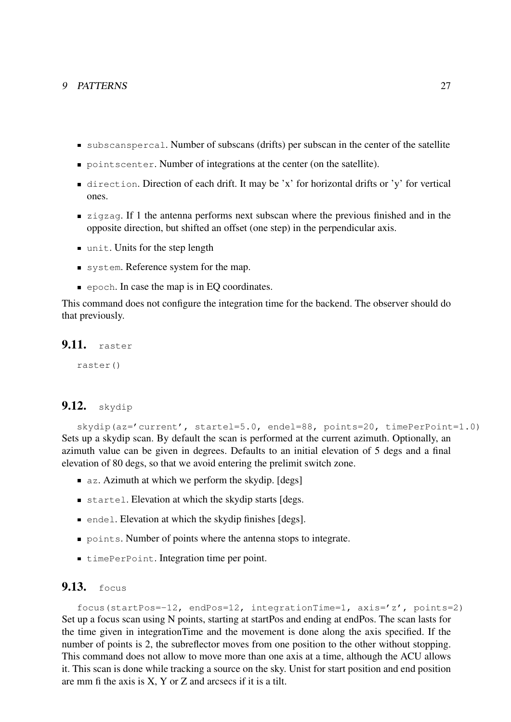- subscanspercal. Number of subscans (drifts) per subscan in the center of the satellite
- point scenter. Number of integrations at the center (on the satellite).
- direction. Direction of each drift. It may be 'x' for horizontal drifts or 'y' for vertical ones.
- **zigzag.** If 1 the antenna performs next subscan where the previous finished and in the opposite direction, but shifted an offset (one step) in the perpendicular axis.
- unit. Units for the step length
- system. Reference system for the map.
- $\blacksquare$  epoch. In case the map is in EQ coordinates.

This command does not configure the integration time for the backend. The observer should do that previously.

#### 9.11. raster

raster()

# **9.12.** skydip

skydip(az='current', startel=5.0, endel=88, points=20, timePerPoint=1.0) Sets up a skydip scan. By default the scan is performed at the current azimuth. Optionally, an azimuth value can be given in degrees. Defaults to an initial elevation of 5 degs and a final elevation of 80 degs, so that we avoid entering the prelimit switch zone.

- **az.** Azimuth at which we perform the skydip. [degs]
- startel. Elevation at which the skydip starts [degs.
- **Example 1.** Elevation at which the skydip finishes [degs].
- points. Number of points where the antenna stops to integrate.
- $\blacksquare$  timePerPoint. Integration time per point.

# **9.13.** focus

focus(startPos=-12, endPos=12, integrationTime=1, axis='z', points=2) Set up a focus scan using N points, starting at startPos and ending at endPos. The scan lasts for the time given in integrationTime and the movement is done along the axis specified. If the number of points is 2, the subreflector moves from one position to the other without stopping. This command does not allow to move more than one axis at a time, although the ACU allows it. This scan is done while tracking a source on the sky. Unist for start position and end position are mm fi the axis is X, Y or Z and arcsecs if it is a tilt.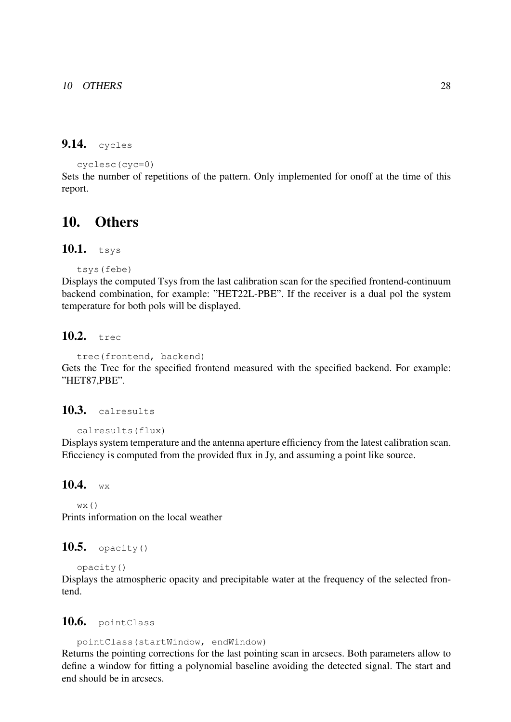# 9.14. cycles

```
cyclesc(cyc=0)
```
Sets the number of repetitions of the pattern. Only implemented for onoff at the time of this report.

# 10. Others

# 10.1. tsys

```
tsys(febe)
```
Displays the computed Tsys from the last calibration scan for the specified frontend-continuum backend combination, for example: "HET22L-PBE". If the receiver is a dual pol the system temperature for both pols will be displayed.

# 10.2. trec

```
trec(frontend, backend)
```
Gets the Trec for the specified frontend measured with the specified backend. For example: "HET87,PBE".

#### 10.3. calresults

```
calresults(flux)
```
Displays system temperature and the antenna aperture efficiency from the latest calibration scan. Eficciency is computed from the provided flux in Jy, and assuming a point like source.

#### 10.4.  $W \times$

 $WX()$ Prints information on the local weather

#### 10.5. opacity $()$

```
opacity()
```
Displays the atmospheric opacity and precipitable water at the frequency of the selected frontend.

### 10.6. pointClass

pointClass(startWindow, endWindow)

Returns the pointing corrections for the last pointing scan in arcsecs. Both parameters allow to define a window for fitting a polynomial baseline avoiding the detected signal. The start and end should be in arcsecs.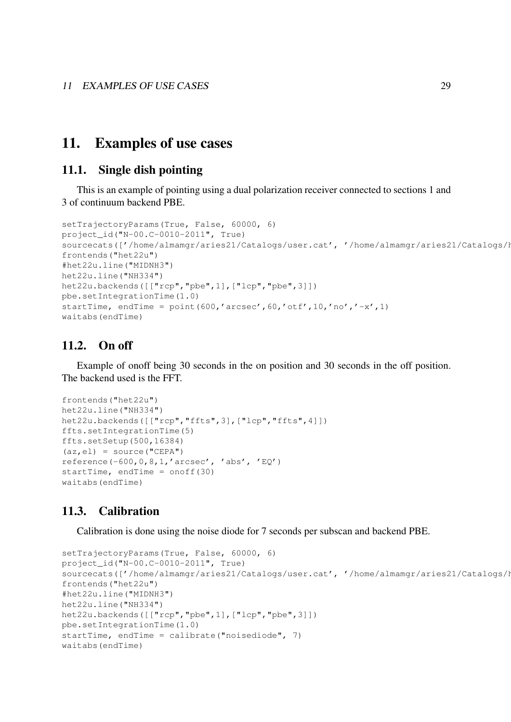# 11. Examples of use cases

### 11.1. Single dish pointing

This is an example of pointing using a dual polarization receiver connected to sections 1 and 3 of continuum backend PBE.

```
setTrajectoryParams(True, False, 60000, 6)
project_id("N-00.C-0010-2011", True)
sourcecats(['/home/almamgr/aries21/Catalogs/user.cat', '/home/almamgr/aries21/Catalogs/h
frontends("het22u")
#het22u.line("MIDNH3")
het22u.line("NH334")
het22u.backends([["rcp","pbe",1],["lcp","pbe",3]])
pbe.setIntegrationTime(1.0)
startTime, endTime = point(600,'arcsec', 60,'otf', 10,'no', '~x', 1)waitabs(endTime)
```
# 11.2. On off

Example of onoff being 30 seconds in the on position and 30 seconds in the off position. The backend used is the FFT.

```
frontends("het22u")
het22u.line("NH334")
het22u.backends([["rcp","ffts",3],["lcp","ffts",4]])
ffts.setIntegrationTime(5)
ffts.setSetup(500,16384)
(az, e1) = source("CEPA")reference(-600,0,8,1,'arcsec', 'abs', 'EQ')
startTime, endTime = onoff(30)waitabs(endTime)
```
# 11.3. Calibration

Calibration is done using the noise diode for 7 seconds per subscan and backend PBE.

```
setTrajectoryParams(True, False, 60000, 6)
project_id("N-00.C-0010-2011", True)
sourcecats(['/home/almamgr/aries21/Catalogs/user.cat', '/home/almamgr/aries21/Catalogs/h
frontends("het22u")
#het22u.line("MIDNH3")
het22u.line("NH334")
het22u.backends([["rcp","pbe",1],["lcp","pbe",3]])
pbe.setIntegrationTime(1.0)
startTime, endTime = calibrate("noisediode", 7)waitabs(endTime)
```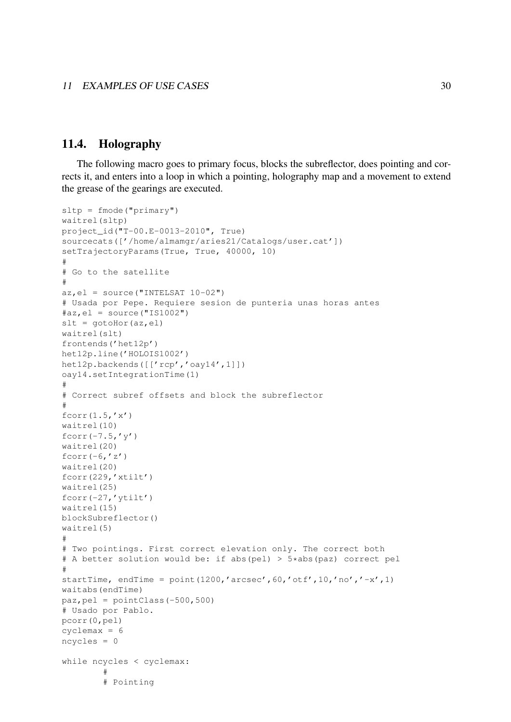### 11.4. Holography

The following macro goes to primary focus, blocks the subreflector, does pointing and corrects it, and enters into a loop in which a pointing, holography map and a movement to extend the grease of the gearings are executed.

```
sltp = fmode("primary")
waitrel(sltp)
project_id("T-00.E-0013-2010", True)
sourcecats(['/home/almamgr/aries21/Catalogs/user.cat'])
setTrajectoryParams(True, True, 40000, 10)
#
# Go to the satellite
#
az, e1 = source("INTERST 10-02")# Usada por Pepe. Requiere sesion de punteria unas horas antes
\#az, el = source ("IS1002")
slt = gotoHor(az,el)waitrel(slt)
frontends('het12p')
het12p.line('HOLOIS1002')
het12p.backends([['rcp','oay14',1]])
oay14.setIntegrationTime(1)
#
# Correct subref offsets and block the subreflector
#
fcorr(1.5,'x')waitrel(10)
fcorr(-7.5, 'y')waitrel(20)
fcorr(-6,'z')waitrel(20)
fcorr(229,'xtilt')
waitrel(25)
fcorr(-27,'ytilt')
waitrel(15)
blockSubreflector()
waitrel(5)
#
# Two pointings. First correct elevation only. The correct both
# A better solution would be: if abs(pel) > 5*abs(paz) correct pel
#
startTime, endTime = point (1200, 'arcsec', 60, 'otf', 10, 'no', ' -x', 1)waitabs(endTime)
paz, pel = pointClass(-500, 500)# Usado por Pablo.
pcorr(0,pel)
cyclemax = 6
ncycles = 0
while ncycles < cyclemax:
        #
        # Pointing
```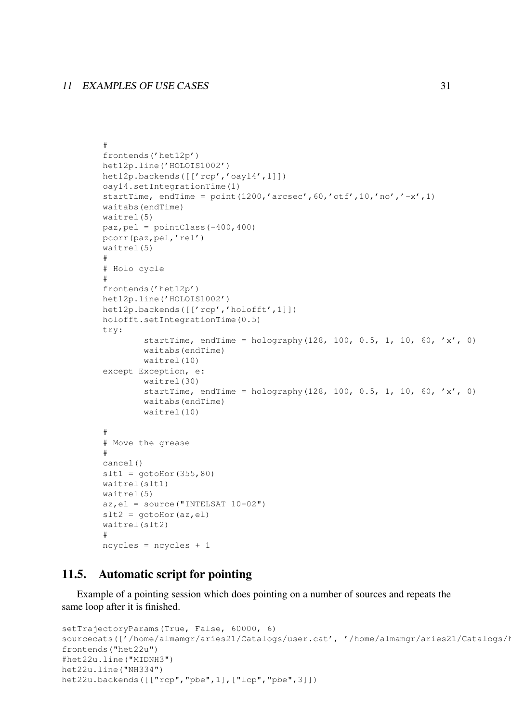#### 11 EXAMPLES OF USE CASES 31

```
#
frontends('het12p')
het12p.line('HOLOIS1002')
het12p.backends([['rcp','oay14',1]])
oay14.setIntegrationTime(1)
startTime, endTime = point(1200,'arcsec', 60,'otf', 10,'no', 'x', 1)waitabs(endTime)
waitrel(5)
paz, pel = pointClass(-400, 400)pcorr(paz,pel,'rel')
waitrel(5)
#
# Holo cycle
#
frontends('het12p')
het12p.line('HOLOIS1002')
het12p.backends([['rcp','holofft',1]])
holofft.setIntegrationTime(0.5)
try:
        startTime, endTime = holography(128, 100, 0.5, 1, 10, 60, 'x', 0)
        waitabs(endTime)
        waitrel(10)
except Exception, e:
        waitrel(30)
        startTime, endTime = holography(128, 100, 0.5, 1, 10, 60, 'x', 0)
        waitabs(endTime)
        waitrel(10)
#
# Move the grease
#
cancel()
slt1 = gotoHor(355, 80)waitrel(slt1)
waitrel(5)
az, e1 = source("INTERST 10-02")slt2 = qotohor(az,el)waitrel(slt2)
#
ncycles = ncycles + 1
```
# 11.5. Automatic script for pointing

Example of a pointing session which does pointing on a number of sources and repeats the same loop after it is finished.

```
setTrajectoryParams(True, False, 60000, 6)
sourcecats(['/home/almamgr/aries21/Catalogs/user.cat', '/home/almamgr/aries21/Catalogs/h
frontends("het22u")
#het22u.line("MIDNH3")
het22u.line("NH334")
het22u.backends([["rcp","pbe",1],["lcp","pbe",3]])
```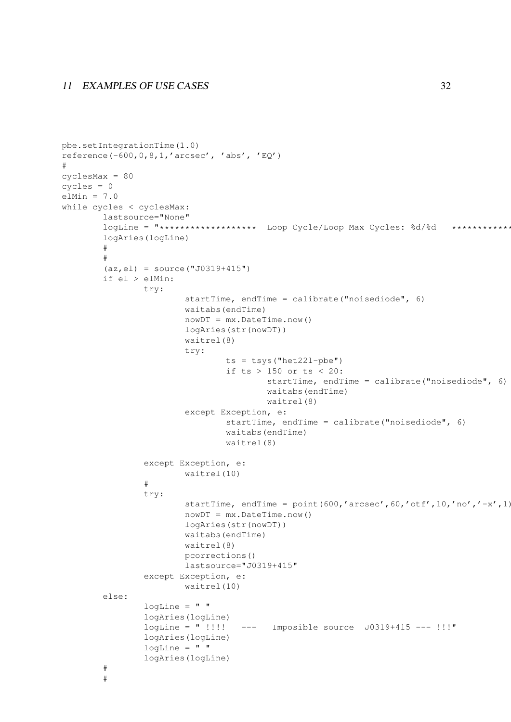```
pbe.setIntegrationTime(1.0)
reference(-600, 0, 8, 1, 'arcsec', 'abs', 'EQ')#
cyclesMax = 80
cycles = 0
elMin = 7.0while cycles < cyclesMax:
        lastsource="None"
        logLine = "******************* Loop Cycle/Loop Max Cycles: %d/%d ************
        logAries(logLine)
        #
        #
        (az, e1) = source("J0319+415")if el > elMin:
                try:
                        startTime, endTime = calibrate("noisediode", 6)
                        waitabs(endTime)
                        nowDT = mx.DataFrameTime.now()logAries(str(nowDT))
                        waitrel(8)
                        try:
                                 ts = tsys("het221-pbe")if ts > 150 or ts < 20:
                                         startTime, endTime = calibrate("noisediode", 6)
                                         waitabs(endTime)
                                         waitrel(8)
                        except Exception, e:
                                 startTime, endTime = calibrate("noisediode", 6)
                                 waitabs(endTime)
                                 waitrel(8)
                except Exception, e:
                        waitrel(10)
                #
                try:
                        startTime, endTime = point (600, 'arcsec', 60, 'otf', 10, 'no', ' -x', 1)nowDT = mx.DateTime.now()
                        logAries(str(nowDT))
                        waitabs(endTime)
                        waitrel(8)
                        pcorrections()
                        lastsource="J0319+415"
                except Exception, e:
                        waitrel(10)
        else:
                logLine = " "logAries(logLine)
                logLine = " !!!! --- Imposible source J0319+415 --- !!!"
                logAries(logLine)
                logLine = " "logAries(logLine)
        #
        #
```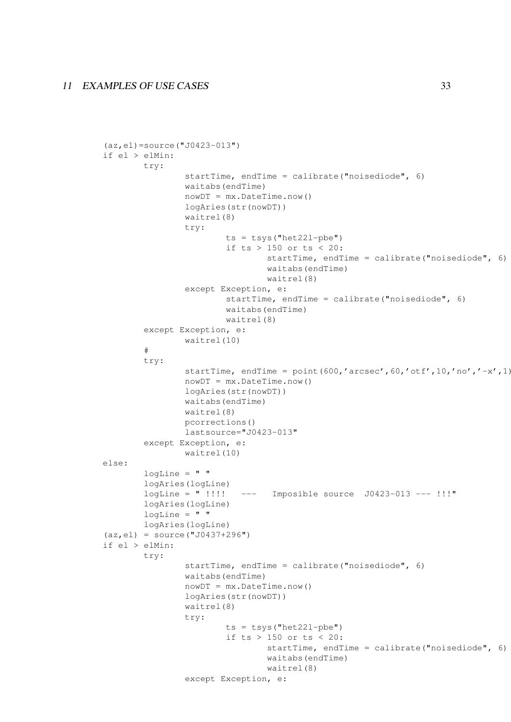#### 11 EXAMPLES OF USE CASES 33

```
(az,el)=source("J0423-013")
if el > elMin:
        try:
                startTime, endTime = calibrate("noisediode", 6)
                waitabs(endTime)
                nowDT = mx.Daterime.now()logAries(str(nowDT))
                waitrel(8)
                try:
                        ts = tsys("het22l-pbe")
                        if ts > 150 or ts < 20:
                                startTime, endTime = calibrate("noisediode", 6)
                                waitabs(endTime)
                                waitrel(8)
                except Exception, e:
                        startTime, endTime = calibrate("noisediode", 6)
                        waitabs(endTime)
                        waitrel(8)
        except Exception, e:
                waitrel(10)
        #
        try:
                startTime, endTime = point(600,'arcsec',60,'otf',10,'no','-x',1)
                nowDT = mx.DataFrameTime.now()logAries(str(nowDT))
                waitabs(endTime)
                waitrel(8)
                pcorrections()
                lastsource="J0423-013"
        except Exception, e:
                waitrel(10)
else:
        logLine = " "logAries(logLine)
        logLine = " !!! --- Imposible source J0423-013 --- !!!"
        logAries(logLine)
        logLine = " "logAries(logLine)
(az,el) = source("J0437+296")
if el > elMin:
        try:
                startTime, endTime = calibrate("noisediode", 6)
                waitabs(endTime)
                nowDT = mx.DataFrameTime.now()logAries(str(nowDT))
                waitrel(8)
                try:
                        ts = tsys("het22l-pbe")
                        if ts > 150 or ts < 20:
                                startTime, endTime = calibrate("noisediode", 6)
                                waitabs(endTime)
                                waitrel(8)
                except Exception, e:
```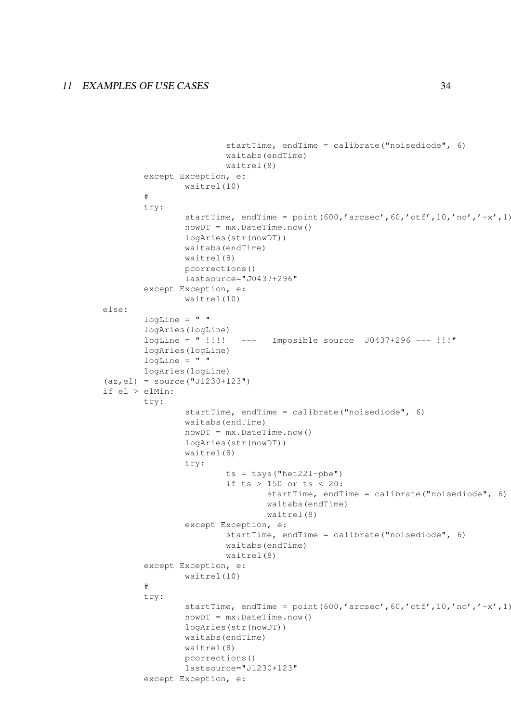```
startTime, endTime = calibrate("noisediode", 6)
                        waitabs(endTime)
                        waitrel(8)
        except Exception, e:
                waitrel(10)
        #
        try:
                startTime, endTime = point (600, 'arcsec', 60, 'otf', 10, 'no', ' -x', 1)nowDT = mx.Daterime.now()logAries(str(nowDT))
                waitabs(endTime)
                waitrel(8)
                pcorrections()
                lastsource="J0437+296"
        except Exception, e:
                waitrel(10)
else:
        logLine = " "logAries(logLine)
        logLine = " !!!! --- Imposible source J0437+296 --- !!!"
        logAries(logLine)
        logLine = " "logAries(logLine)
(az, e1) = source("J1230+123")if el > elMin:
        try:
                startTime, endTime = calibrate("noisediode", 6)
                waitabs(endTime)
                nowDT = mx.DateTime.now()
                logAries(str(nowDT))
                waitrel(8)
                try:
                        ts = tsys("het22l-pbe")
                        if ts > 150 or ts < 20:
                                 startTime, endTime = calibrate("noisediode", 6)
                                 waitabs(endTime)
                                 waitrel(8)
                except Exception, e:
                        startTime, endTime = calibrate("noisediode", 6)
                        waitabs(endTime)
                        waitrel(8)
        except Exception, e:
                waitrel(10)
        #
        try:
                startTime, endTime = point (600, 'arcsec', 60, 'otf', 10, 'no', ' -x', 1)nowDT = mx.DateTime.now()
                logAries(str(nowDT))
                waitabs(endTime)
                waitrel(8)
                pcorrections()
                lastsource="J1230+123"
        except Exception, e:
```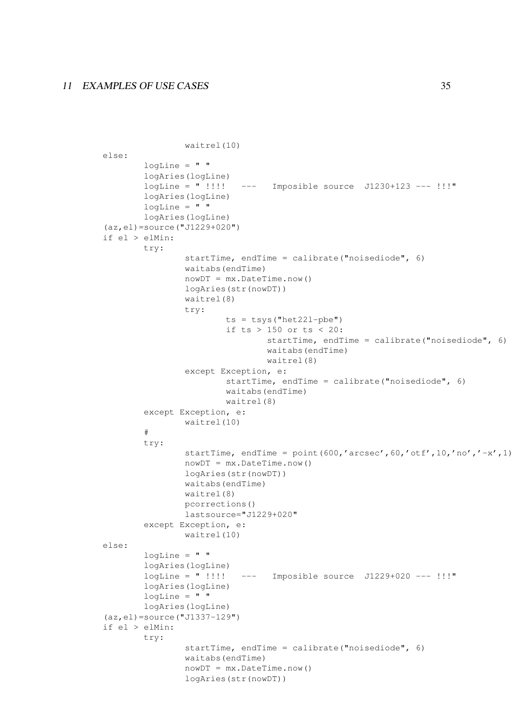```
waitrel(10)
else:
       logLine = " "logAries(logLine)
        logLine = " !!!! ---- Imposible source J1230+123 ---.!!!"
       logAries(logLine)
       logLine = " "logAries(logLine)
(az,el)=source("J1229+020")
if el > elMin:
       try:
                startTime, endTime = calibrate("noisediode", 6)
                waitabs(endTime)
                nowDT = mx.DataFrameTime.now()logAries(str(nowDT))
                waitrel(8)
                try:
                        ts = tsys("het221-pbe")if ts > 150 or ts < 20:
                                startTime, endTime = calibrate("noisediode", 6)
                                waitabs(endTime)
                                waitrel(8)
                except Exception, e:
                        startTime, endTime = calibrate("noisediode", 6)
                        waitabs(endTime)
                        waitrel(8)
        except Exception, e:
                waitrel(10)
        #
        try:
                startTime, endTime = point(600,'arcsec',60,'otf',10,'no','-x',1)
                nowDT = mx.DateTime.now()
                logAries(str(nowDT))
                waitabs(endTime)
                waitrel(8)
                pcorrections()
                lastsource="J1229+020"
        except Exception, e:
                waitrel(10)
else:
       logLine = " "logAries(logLine)
       logLine = " !!!! --- Imposible source J1229+020 --- !!!"
       logAries(logLine)
        logLine = " "logAries(logLine)
(az,el)=source("J1337-129")
if el > elMin:
       try:
                startTime, endTime = calibrate("noisediode", 6)
                waitabs(endTime)
                nowDT = mx.DataFrameTime.now()logAries(str(nowDT))
```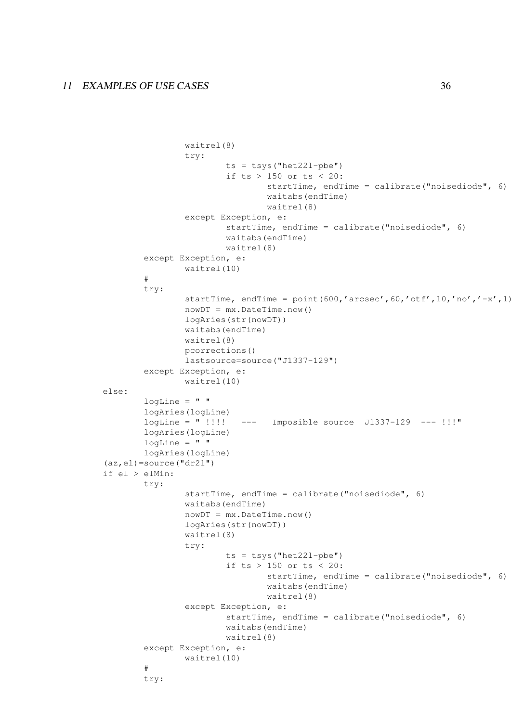```
waitrel(8)
                try:
                        ts = tsys("het221-pbe")if ts > 150 or ts < 20:
                                startTime, endTime = calibrate("noisediode", 6)
                                waitabs(endTime)
                                waitrel(8)
                except Exception, e:
                        startTime, endTime = calibrate("noisediode", 6)
                        waitabs(endTime)
                        waitrel(8)
        except Exception, e:
                waitrel(10)
        #
        try:
                startTime, endTime = point(600,'arcsec',60,'otf',10,'no','-x',1)
                nowDT = mx.DataFrameTime.now()logAries(str(nowDT))
                waitabs(endTime)
                waitrel(8)
                pcorrections()
                lastsource=source("J1337-129")
        except Exception, e:
               waitrel(10)
else:
       logLine = " "logAries(logLine)
       logLine = " !!!! --- Imposible source J1337-129 --- !!!"
       logAries(logLine)
        logLine = " "logAries(logLine)
(az,el) = source("dr21")if el > elMin:
       try:
                startTime, endTime = calibrate("noisediode", 6)
                waitabs(endTime)
                nowDT = mx.DateTime.now()
                logAries(str(nowDT))
                waitrel(8)
                try:
                        ts = tsys("het221-pbe")if ts > 150 or ts < 20:
                                startTime, endTime = calibrate("noisediode", 6)
                                waitabs(endTime)
                                waitrel(8)
                except Exception, e:
                        startTime, endTime = calibrate("noisediode", 6)
                        waitabs(endTime)
                        waitrel(8)
        except Exception, e:
                waitrel(10)
        #
        try:
```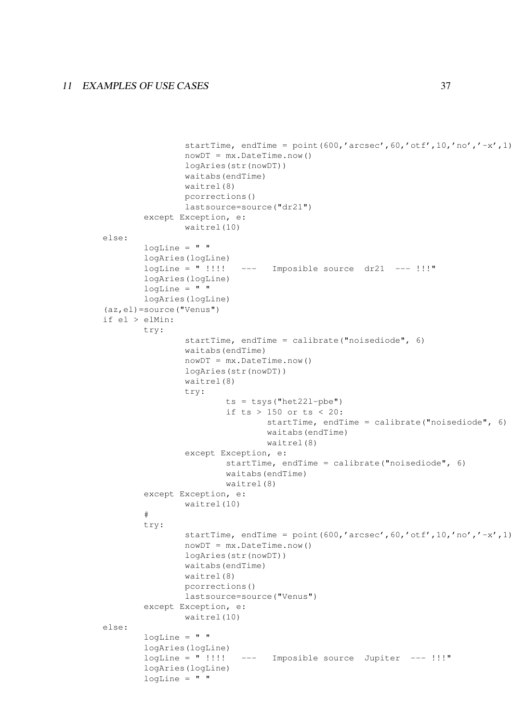```
startTime, endTime = point(600,'arcsec',60,'otf',10,'no',,'-x',1)nowDT = mx.Daterime.now()logAries(str(nowDT))
                waitabs(endTime)
                waitrel(8)
                pcorrections()
                lastsource=source("dr21")
        except Exception, e:
               waitrel(10)
else:
       logLine = " "logAries(logLine)
       logLine = " !!!! ---- Imposible source dr21 ---- !!!"
       logAries(logLine)
        logLine = " "
        logAries(logLine)
(az,el)=source("Venus")
if el > elMin:
       try:
                startTime, endTime = calibrate("noisediode", 6)
                waitabs(endTime)
                nowDT = mx.DataFrameTime.now()logAries(str(nowDT))
                waitrel(8)
                try:
                        ts = tsys("het221-pbe")if ts > 150 or ts < 20:
                                startTime, endTime = calibrate("noisediode", 6)
                                waitabs(endTime)
                                waitrel(8)
                except Exception, e:
                        startTime, endTime = calibrate("noisediode", 6)
                        waitabs(endTime)
                        waitrel(8)
        except Exception, e:
                waitrel(10)
        #
        try:
                startTime, endTime = point(600,'arcsec',60,'ott',10,'no',,'-x',1)nowDT = mx.DataFrameTime.now()logAries(str(nowDT))
                waitabs(endTime)
                waitrel(8)
                pcorrections()
                lastsource=source("Venus")
       except Exception, e:
                waitrel(10)
else:
       logLine = " "logAries(logLine)
        logLine = " !!!! --- Imposible source Jupiter --- !!!"
        logAries(logLine)
        logLine = " "
```